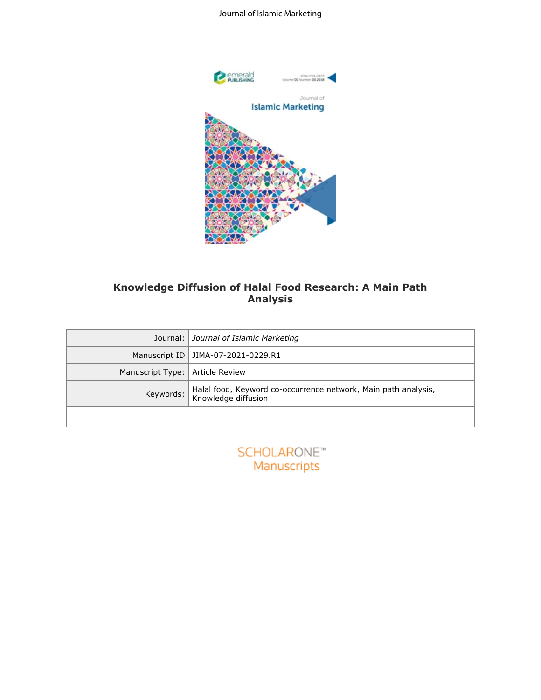### Journal of Islamic Marketing



## **Knowledge Diffusion of Halal Food Research: A Main Path Analysis**

|                  | Knowledge Diffusion of Halal Food Research: A Main Path<br><b>Analysis</b>            |
|------------------|---------------------------------------------------------------------------------------|
| Journal:         | Journal of Islamic Marketing                                                          |
| Manuscript ID    | JIMA-07-2021-0229.R1                                                                  |
| Manuscript Type: | <b>Article Review</b>                                                                 |
| Keywords:        | Halal food, Keyword co-occurrence network, Main path analysis,<br>Knowledge diffusion |
|                  |                                                                                       |
|                  | <b>SCHOLARONE™</b><br>Manuscripts                                                     |

| <b>SCHOLARONE™</b> |
|--------------------|
| Manuscripts        |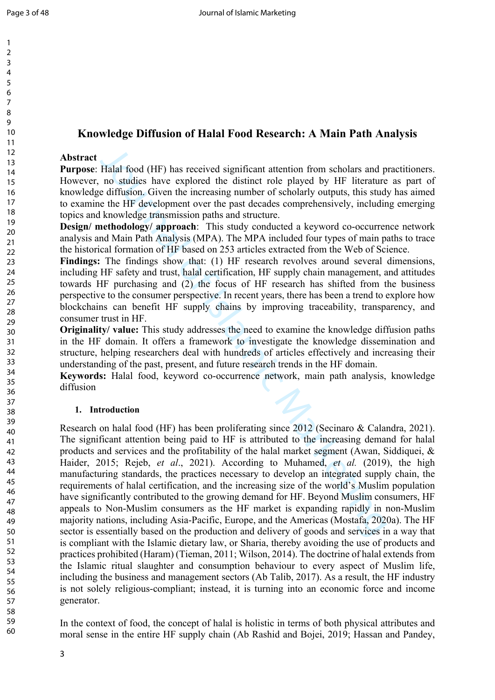#### 2 3 4 5 6 7 8 9 10 11 12 13 14 15 16 17 18 19 20 21 22  $23$ 24 25 26 27 28 29 30 31 32 33 34 35 36 37 38 39 40 41 42 43 44 45 46 47 48 49 50 51 52 53 54 55 56 57 58 59

# **Knowledge Diffusion of Halal Food Research: A Main Path Analysis**

#### **Abstract**

**Purpose**: Halal food (HF) has received significant attention from scholars and practitioners. However, no studies have explored the distinct role played by HF literature as part of knowledge diffusion. Given the increasing number of scholarly outputs, this study has aimed to examine the HF development over the past decades comprehensively, including emerging topics and knowledge transmission paths and structure.

**Design/ methodology/ approach:** This study conducted a keyword co-occurrence network analysis and Main Path Analysis (MPA). The MPA included four types of main paths to trace the historical formation of HF based on 253 articles extracted from the Web of Science.

**Findings:** The findings show that: (1) HF research revolves around several dimensions, including HF safety and trust, halal certification, HF supply chain management, and attitudes towards HF purchasing and (2) the focus of HF research has shifted from the business perspective to the consumer perspective. In recent years, there has been a trend to explore how blockchains can benefit HF supply chains by improving traceability, transparency, and consumer trust in HF.

**Originality/ value:** This study addresses the need to examine the knowledge diffusion paths in the HF domain. It offers a framework to investigate the knowledge dissemination and structure, helping researchers deal with hundreds of articles effectively and increasing their understanding of the past, present, and future research trends in the HF domain.

**Keywords:** Halal food, keyword co-occurrence network, main path analysis, knowledge diffusion

#### **1. Introduction**

Halal food (HF) has received significant attention from scholars and no studies have explored the distinct role played by HF literature diffusion. Given the increasing number of scholarly outputs, this stud to the HE deve Research on halal food (HF) has been proliferating since 2012 (Secinaro & Calandra, 2021). The significant attention being paid to HF is attributed to the increasing demand for halal products and services and the profitability of the halal market segment (Awan, Siddiquei, & Haider, 2015; Rejeb, *et al*., 2021). According to Muhamed, *et al.* (2019), the high manufacturing standards, the practices necessary to develop an integrated supply chain, the requirements of halal certification, and the increasing size of the world's Muslim population have significantly contributed to the growing demand for HF. Beyond Muslim consumers, HF appeals to Non-Muslim consumers as the HF market is expanding rapidly in non-Muslim majority nations, including Asia-Pacific, Europe, and the Americas (Mostafa, 2020a). The HF sector is essentially based on the production and delivery of goods and services in a way that is compliant with the Islamic dietary law, or Sharia, thereby avoiding the use of products and practices prohibited (Haram) (Tieman, 2011; Wilson, 2014). The doctrine of halal extends from the Islamic ritual slaughter and consumption behaviour to every aspect of Muslim life, including the business and management sectors (Ab Talib, 2017). As a result, the HF industry is not solely religious-compliant; instead, it is turning into an economic force and income generator.

In the context of food, the concept of halal is holistic in terms of both physical attributes and moral sense in the entire HF supply chain (Ab Rashid and Bojei, 2019; Hassan and Pandey,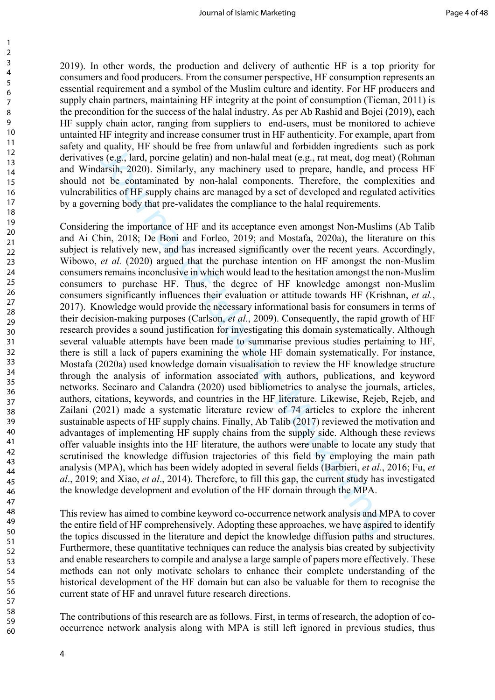2019). In other words, the production and delivery of authentic HF is a top priority for consumers and food producers. From the consumer perspective, HF consumption represents an essential requirement and a symbol of the Muslim culture and identity. For HF producers and supply chain partners, maintaining HF integrity at the point of consumption (Tieman, 2011) is the precondition for the success of the halal industry. As per Ab Rashid and Bojei (2019), each HF supply chain actor, ranging from suppliers to end-users, must be monitored to achieve untainted HF integrity and increase consumer trust in HF authenticity. For example, apart from safety and quality, HF should be free from unlawful and forbidden ingredients such as pork derivatives (e.g., lard, porcine gelatin) and non-halal meat (e.g., rat meat, dog meat) (Rohman and Windarsih, 2020). Similarly, any machinery used to prepare, handle, and process HF should not be contaminated by non-halal components. Therefore, the complexities and vulnerabilities of HF supply chains are managed by a set of developed and regulated activities by a governing body that pre-validates the compliance to the halal requirements.

quality, HF should of the form unknot unit of thordoat ingreduating stating of ether form and of the form and of the model of the containing and the source is (e.g., lard, porening elatin) and non-halal meat (e.g., rat mea Considering the importance of HF and its acceptance even amongst Non-Muslims (Ab Talib and Ai Chin, 2018; De Boni and Forleo, 2019; and Mostafa, 2020a), the literature on this subject is relatively new, and has increased significantly over the recent years. Accordingly, Wibowo, *et al.* (2020) argued that the purchase intention on HF amongst the non-Muslim consumers remains inconclusive in which would lead to the hesitation amongst the non-Muslim consumers to purchase HF. Thus, the degree of HF knowledge amongst non-Muslim consumers significantly influences their evaluation or attitude towards HF (Krishnan, *et al.*, 2017). Knowledge would provide the necessary informational basis for consumers in terms of their decision-making purposes (Carlson, *et al.*, 2009). Consequently, the rapid growth of HF research provides a sound justification for investigating this domain systematically. Although several valuable attempts have been made to summarise previous studies pertaining to HF, there is still a lack of papers examining the whole HF domain systematically. For instance, Mostafa (2020a) used knowledge domain visualisation to review the HF knowledge structure through the analysis of information associated with authors, publications, and keyword networks. Secinaro and Calandra (2020) used bibliometrics to analyse the journals, articles, authors, citations, keywords, and countries in the HF literature. Likewise, Rejeb, Rejeb, and Zailani (2021) made a systematic literature review of 74 articles to explore the inherent sustainable aspects of HF supply chains. Finally, Ab Talib (2017) reviewed the motivation and advantages of implementing HF supply chains from the supply side. Although these reviews offer valuable insights into the HF literature, the authors were unable to locate any study that scrutinised the knowledge diffusion trajectories of this field by employing the main path analysis (MPA), which has been widely adopted in several fields (Barbieri, *et al.*, 2016; Fu, *et al*., 2019; and Xiao, *et al*., 2014). Therefore, to fill this gap, the current study has investigated the knowledge development and evolution of the HF domain through the MPA.

This review has aimed to combine keyword co-occurrence network analysis and MPA to cover the entire field of HF comprehensively. Adopting these approaches, we have aspired to identify the topics discussed in the literature and depict the knowledge diffusion paths and structures. Furthermore, these quantitative techniques can reduce the analysis bias created by subjectivity and enable researchers to compile and analyse a large sample of papers more effectively. These methods can not only motivate scholars to enhance their complete understanding of the historical development of the HF domain but can also be valuable for them to recognise the current state of HF and unravel future research directions.

The contributions of this research are as follows. First, in terms of research, the adoption of cooccurrence network analysis along with MPA is still left ignored in previous studies, thus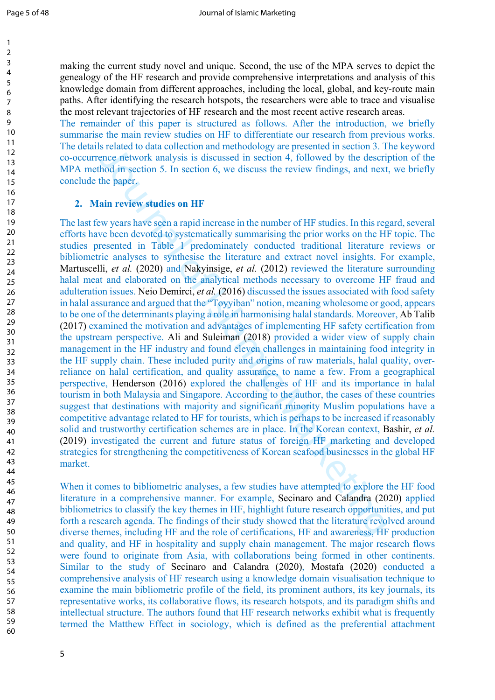making the current study novel and unique. Second, the use of the MPA serves to depict the genealogy of the HF research and provide comprehensive interpretations and analysis of this knowledge domain from different approaches, including the local, global, and key-route main paths. After identifying the research hotspots, the researchers were able to trace and visualise the most relevant trajectories of HF research and the most recent active research areas.

The remainder of this paper is structured as follows. After the introduction, we briefly summarise the main review studies on HF to differentiate our research from previous works. The details related to data collection and methodology are presented in section 3. The keyword co-occurrence network analysis is discussed in section 4, followed by the description of the MPA method in section 5. In section 6, we discuss the review findings, and next, we briefly conclude the paper.

#### **2. Main review studies on HF**

s related to data coluction and menodology are presented to data coluction and consider of the correct meterion is the certical meterion is the certical meterion of the certical meterion of the certical meterion of the cer The last few years have seen a rapid increase in the number of HF studies. In this regard, several efforts have been devoted to systematically summarising the prior works on the HF topic. The studies presented in Table 1 predominately conducted traditional literature reviews or bibliometric analyses to synthesise the literature and extract novel insights. For example, Martuscelli, *et al.* (2020) and Nakyinsige, *et al.* (2012) reviewed the literature surrounding halal meat and elaborated on the analytical methods necessary to overcome HF fraud and adulteration issues. Neio Demirci, *et al.* (2016) discussed the issues associated with food safety in halal assurance and argued that the "Toyyiban" notion, meaning wholesome or good, appears to be one of the determinants playing a role in harmonising halal standards. Moreover, Ab Talib (2017) examined the motivation and advantages of implementing HF safety certification from the upstream perspective. Ali and Suleiman (2018) provided a wider view of supply chain management in the HF industry and found eleven challenges in maintaining food integrity in the HF supply chain. These included purity and origins of raw materials, halal quality, overreliance on halal certification, and quality assurance, to name a few. From a geographical perspective, Henderson (2016) explored the challenges of HF and its importance in halal tourism in both Malaysia and Singapore. According to the author, the cases of these countries suggest that destinations with majority and significant minority Muslim populations have a competitive advantage related to HF for tourists, which is perhaps to be increased if reasonably solid and trustworthy certification schemes are in place. In the Korean context, Bashir, *et al.* (2019) investigated the current and future status of foreign HF marketing and developed strategies for strengthening the competitiveness of Korean seafood businesses in the global HF market.

When it comes to bibliometric analyses, a few studies have attempted to explore the HF food literature in a comprehensive manner. For example, Secinaro and Calandra (2020) applied bibliometrics to classify the key themes in HF, highlight future research opportunities, and put forth a research agenda. The findings of their study showed that the literature revolved around diverse themes, including HF and the role of certifications, HF and awareness, HF production and quality, and HF in hospitality and supply chain management. The major research flows were found to originate from Asia, with collaborations being formed in other continents. Similar to the study of Secinaro and Calandra (2020), Mostafa (2020) conducted a comprehensive analysis of HF research using a knowledge domain visualisation technique to examine the main bibliometric profile of the field, its prominent authors, its key journals, its representative works, its collaborative flows, its research hotspots, and its paradigm shifts and intellectual structure. The authors found that HF research networks exhibit what is frequently termed the Matthew Effect in sociology, which is defined as the preferential attachment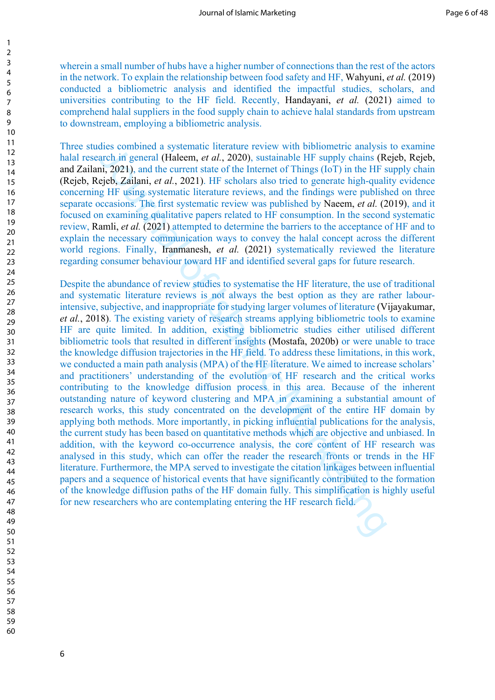wherein a small number of hubs have a higher number of connections than the rest of the actors in the network. To explain the relationship between food safety and HF, Wahyuni, *et al.* (2019) conducted a bibliometric analysis and identified the impactful studies, scholars, and universities contributing to the HF field. Recently, Handayani, *et al.* (2021) aimed to comprehend halal suppliers in the food supply chain to achieve halal standards from upstream to downstream, employing a bibliometric analysis.

Three studies combined a systematic literature review with bibliometric analysis to examine halal research in general (Haleem, *et al.*, 2020), sustainable HF supply chains (Rejeb, Rejeb, and Zailani, 2021), and the current state of the Internet of Things (IoT) in the HF supply chain (Rejeb, Rejeb, Zailani, *et al.*, 2021). HF scholars also tried to generate high-quality evidence concerning HF using systematic literature reviews, and the findings were published on three separate occasions. The first systematic review was published by Naeem, *et al.* (2019), and it focused on examining qualitative papers related to HF consumption. In the second systematic review, Ramli, *et al.* (2021) attempted to determine the barriers to the acceptance of HF and to explain the necessary communication ways to convey the halal concept across the different world regions. Finally, Iranmanesh, *et al.* (2021) systematically reviewed the literature regarding consumer behaviour toward HF and identified several gaps for future research.

dies comomed a systemate interative review with bothometric anaysis and the corolon of a systematic function of the literative review with optical and  $r$  at  $\lambda$  2021). In the current state of the Internet of Things (IoT) Despite the abundance of review studies to systematise the HF literature, the use of traditional and systematic literature reviews is not always the best option as they are rather labourintensive, subjective, and inappropriate for studying larger volumes of literature (Vijayakumar, *et al.*, 2018). The existing variety of research streams applying bibliometric tools to examine HF are quite limited. In addition, existing bibliometric studies either utilised different bibliometric tools that resulted in different insights (Mostafa, 2020b) or were unable to trace the knowledge diffusion trajectories in the HF field. To address these limitations, in this work, we conducted a main path analysis (MPA) of the HF literature. We aimed to increase scholars' and practitioners' understanding of the evolution of HF research and the critical works contributing to the knowledge diffusion process in this area. Because of the inherent outstanding nature of keyword clustering and MPA in examining a substantial amount of research works, this study concentrated on the development of the entire HF domain by applying both methods. More importantly, in picking influential publications for the analysis, the current study has been based on quantitative methods which are objective and unbiased. In addition, with the keyword co-occurrence analysis, the core content of HF research was analysed in this study, which can offer the reader the research fronts or trends in the HF literature. Furthermore, the MPA served to investigate the citation linkages between influential papers and a sequence of historical events that have significantly contributed to the formation of the knowledge diffusion paths of the HF domain fully. This simplification is highly useful for new researchers who are contemplating entering the HF research field.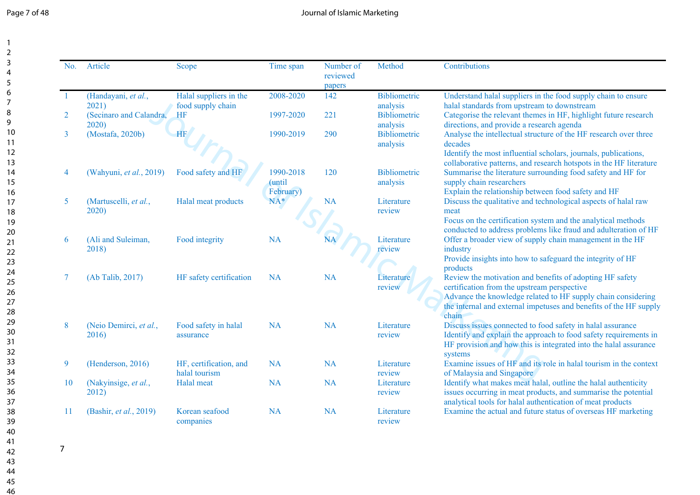| Page 7 of 48 |  |  |  |
|--------------|--|--|--|
|--------------|--|--|--|

| No.            | Article                          | <b>Scope</b>                                | Time span                        | Number of<br>reviewed<br>papers | Method                          | Contributions                                                                                                                                                                                                                                         |
|----------------|----------------------------------|---------------------------------------------|----------------------------------|---------------------------------|---------------------------------|-------------------------------------------------------------------------------------------------------------------------------------------------------------------------------------------------------------------------------------------------------|
|                | (Handayani, et al.,<br>2021)     | Halal suppliers in the<br>food supply chain | 2008-2020                        | 142                             | Bibliometric<br>analysis        | Understand halal suppliers in the food supply chain to ensure<br>halal standards from upstream to downstream                                                                                                                                          |
| $\overline{2}$ | (Secinaro and Calandra,<br>2020) | HF                                          | 1997-2020                        | 221                             | Bibliometric<br>analysis        | Categorise the relevant themes in HF, highlight future research<br>directions, and provide a research agenda                                                                                                                                          |
| 3              | (Mostafa, 2020b)                 | <b>HF</b>                                   | 1990-2019                        | 290                             | <b>Bibliometric</b><br>analysis | Analyse the intellectual structure of the HF research over three<br>decades<br>Identify the most influential scholars, journals, publications,<br>collaborative patterns, and research hotspots in the HF literature                                  |
| 4              | (Wahyuni, et al., 2019)          | Food safety and HF                          | 1990-2018<br>(until<br>February) | 120                             | Bibliometric<br>analysis        | Summarise the literature surrounding food safety and HF for<br>supply chain researchers<br>Explain the relationship between food safety and HF                                                                                                        |
| 5              | (Martuscelli, et al.,<br>2020)   | Halal meat products                         | $NA^*$                           | <b>NA</b>                       | Literature<br>review            | Discuss the qualitative and technological aspects of halal raw<br>meat<br>Focus on the certification system and the analytical methods<br>conducted to address problems like fraud and adulteration of HF                                             |
| 6              | (Ali and Suleiman,<br>2018)      | Food integrity                              | <b>NA</b>                        | NA                              | Literature<br>review            | Offer a broader view of supply chain management in the HF<br>industry<br>Provide insights into how to safeguard the integrity of HF<br>products                                                                                                       |
|                | (Ab Talib, 2017)                 | HF safety certification                     | <b>NA</b>                        | <b>NA</b>                       | Literature<br>review            | Review the motivation and benefits of adopting HF safety<br>certification from the upstream perspective<br>Advance the knowledge related to HF supply chain considering<br>the internal and external impetuses and benefits of the HF supply<br>chain |
| 8              | (Neio Demirci, et al.,<br>2016)  | Food safety in halal<br>assurance           | <b>NA</b>                        | <b>NA</b>                       | Literature<br>review            | Discuss issues connected to food safety in halal assurance<br>Identify and explain the approach to food safety requirements in<br>HF provision and how this is integrated into the halal assurance<br>systems                                         |
| 9              | (Henderson, 2016)                | HF, certification, and<br>halal tourism     | <b>NA</b>                        | <b>NA</b>                       | Literature<br>review            | Examine issues of HF and its role in halal tourism in the context<br>of Malaysia and Singapore                                                                                                                                                        |
| 10             | (Nakyinsige, et al.,<br>2012)    | Halal meat                                  | <b>NA</b>                        | <b>NA</b>                       | Literature<br>review            | Identify what makes meat halal, outline the halal authenticity<br>issues occurring in meat products, and summarise the potential<br>analytical tools for halal authentication of meat products                                                        |
| 11             | (Bashir, et al., 2019)           | Korean seafood<br>companies                 | <b>NA</b>                        | <b>NA</b>                       | Literature<br>review            | Examine the actual and future status of overseas HF marketing                                                                                                                                                                                         |

7

43 44 45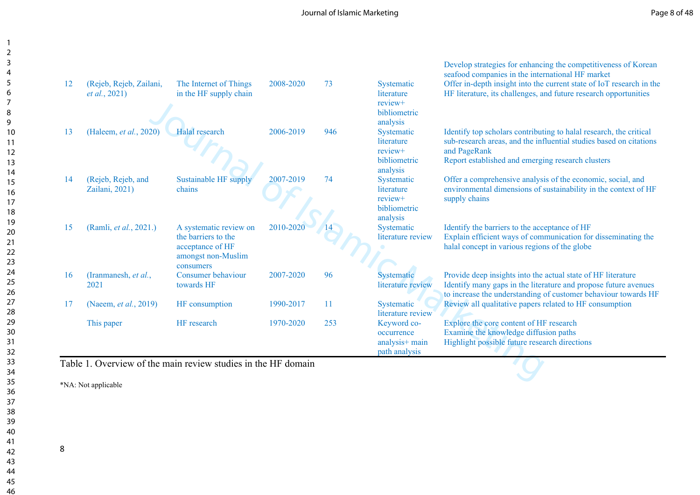|    |                                                  | Table 1. Overview of the main review studies in the HF domain                                        |           |     | analysis+ main<br>path analysis                                                             | Highlight possible future research directions                                                                                                                                                                                                                  |
|----|--------------------------------------------------|------------------------------------------------------------------------------------------------------|-----------|-----|---------------------------------------------------------------------------------------------|----------------------------------------------------------------------------------------------------------------------------------------------------------------------------------------------------------------------------------------------------------------|
|    | This paper                                       | HF research                                                                                          | 1970-2020 | 253 | Keyword co-<br>occurrence                                                                   | Explore the core content of HF research<br>Examine the knowledge diffusion paths                                                                                                                                                                               |
| 17 | (Naeem, et al., 2019)                            | HF consumption                                                                                       | 1990-2017 | 11  | Systematic<br>literature review                                                             | Review all qualitative papers related to HF consumption                                                                                                                                                                                                        |
| 16 | (Iranmanesh, et al.,<br>2021                     | Consumer behaviour<br>towards HF                                                                     | 2007-2020 | 96  | Systematic<br>literature review                                                             | Provide deep insights into the actual state of HF literature<br>Identify many gaps in the literature and propose future avenues<br>to increase the understanding of customer behaviour towards HF                                                              |
| 15 | (Ramli, et al., 2021.)                           | A systematic review on<br>the barriers to the<br>acceptance of HF<br>amongst non-Muslim<br>consumers | 2010-2020 |     | analysis<br>Systematic<br>literature review                                                 | Identify the barriers to the acceptance of HF<br>Explain efficient ways of communication for disseminating the<br>halal concept in various regions of the globe                                                                                                |
| 14 | (Rejeb, Rejeb, and<br>Zailani, 2021)             | Sustainable HF supply<br>chains                                                                      | 2007-2019 | 74  | Systematic<br>literature<br>review+<br>bibliometric                                         | Offer a comprehensive analysis of the economic, social, and<br>environmental dimensions of sustainability in the context of HF<br>supply chains                                                                                                                |
| 13 | (Haleem, et al., 2020)                           | <b>Halal</b> research                                                                                | 2006-2019 | 946 | bibliometric<br>analysis<br>Systematic<br>literature<br>review+<br>bibliometric<br>analysis | Identify top scholars contributing to halal research, the critical<br>sub-research areas, and the influential studies based on citations<br>and PageRank<br>Report established and emerging research clusters                                                  |
| 12 | (Rejeb, Rejeb, Zailani,<br><i>et al.</i> , 2021) | The Internet of Things<br>in the HF supply chain                                                     | 2008-2020 | 73  | Systematic<br>literature<br>review+                                                         | Develop strategies for enhancing the competitiveness of Korean<br>seafood companies in the international HF market<br>Offer in-depth insight into the current state of IoT research in the<br>HF literature, its challenges, and future research opportunities |

\*NA: Not applicable

8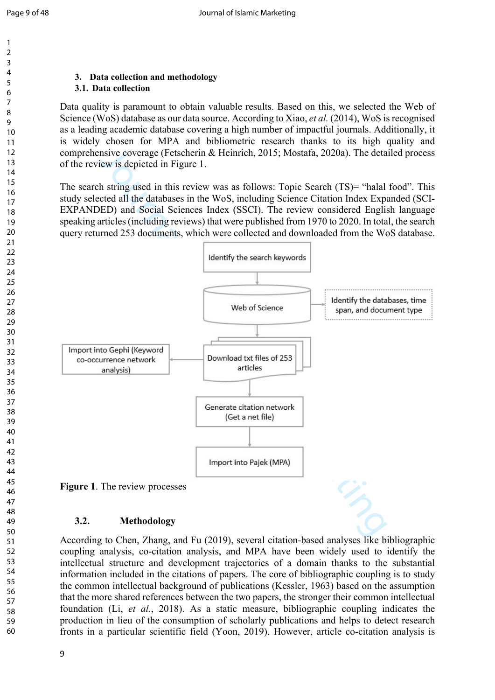#### $\overline{Q}$

## **3. Data collection and methodology**

#### **3.1. Data collection**

Data quality is paramount to obtain valuable results. Based on this, we selected the Web of Science (WoS) database as our data source. According to Xiao, *et al.* (2014), WoS is recognised as a leading academic database covering a high number of impactful journals. Additionally, it is widely chosen for MPA and bibliometric research thanks to its high quality and comprehensive coverage (Fetscherin & Heinrich, 2015; Mostafa, 2020a). The detailed process of the review is depicted in Figure 1.

The search string used in this review was as follows: Topic Search (TS)= "halal food". This study selected all the databases in the WoS, including Science Citation Index Expanded (SCI-EXPANDED) and Social Sciences Index (SSCI). The review considered English language speaking articles (including reviews) that were published from 1970 to 2020. In total, the search query returned 253 documents, which were collected and downloaded from the WoS database.



## **3.2. Methodology**

According to Chen, Zhang, and Fu (2019), several citation-based analyses like bibliographic coupling analysis, co-citation analysis, and MPA have been widely used to identify the intellectual structure and development trajectories of a domain thanks to the substantial information included in the citations of papers. The core of bibliographic coupling is to study the common intellectual background of publications (Kessler, 1963) based on the assumption that the more shared references between the two papers, the stronger their common intellectual foundation (Li, *et al.*, 2018). As a static measure, bibliographic coupling indicates the production in lieu of the consumption of scholarly publications and helps to detect research fronts in a particular scientific field (Yoon, 2019). However, article co-citation analysis is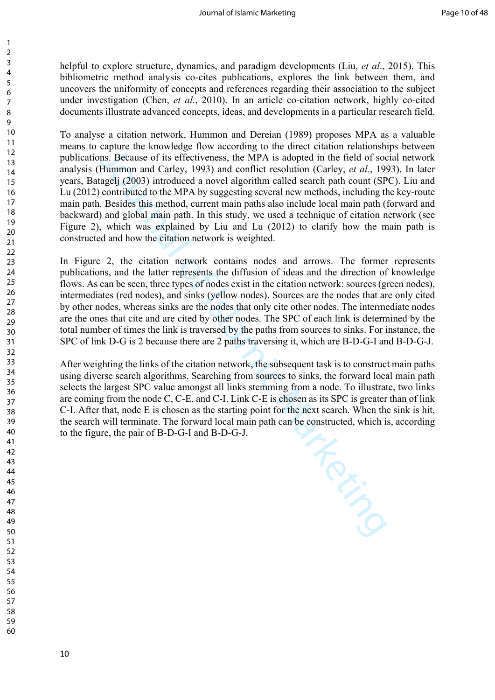helpful to explore structure, dynamics, and paradigm developments (Liu, *et al*., 2015). This bibliometric method analysis co-cites publications, explores the link between them, and uncovers the uniformity of concepts and references regarding their association to the subject under investigation (Chen, *et al.*, 2010). In an article co-citation network, highly co-cited documents illustrate advanced concepts, ideas, and developments in a particular research field.

capture the Knowleage have according to the direct claimather and capture in the sample of the particular of Hummon and Carley, 1993) and conflict resolution (Carley, et al., 19 agoil) introduced a novel algorithm called s To analyse a citation network, Hummon and Dereian (1989) proposes MPA as a valuable means to capture the knowledge flow according to the direct citation relationships between publications. Because of its effectiveness, the MPA is adopted in the field of social network analysis (Hummon and Carley, 1993) and conflict resolution (Carley, *et al.*, 1993). In later years, Batagelj (2003) introduced a novel algorithm called search path count (SPC). Liu and Lu (2012) contributed to the MPA by suggesting several new methods, including the key-route main path. Besides this method, current main paths also include local main path (forward and backward) and global main path. In this study, we used a technique of citation network (see Figure 2), which was explained by Liu and Lu (2012) to clarify how the main path is constructed and how the citation network is weighted.

In Figure 2, the citation network contains nodes and arrows. The former represents publications, and the latter represents the diffusion of ideas and the direction of knowledge flows. As can be seen, three types of nodes exist in the citation network: sources (green nodes), intermediates (red nodes), and sinks (yellow nodes). Sources are the nodes that are only cited by other nodes, whereas sinks are the nodes that only cite other nodes. The intermediate nodes are the ones that cite and are cited by other nodes. The SPC of each link is determined by the total number of times the link is traversed by the paths from sources to sinks. For instance, the SPC of link D-G is 2 because there are 2 paths traversing it, which are B-D-G-I and B-D-G-J.

After weighting the links of the citation network, the subsequent task is to construct main paths using diverse search algorithms. Searching from sources to sinks, the forward local main path selects the largest SPC value amongst all links stemming from a node. To illustrate, two links are coming from the node C, C-E, and C-I. Link C-E is chosen as its SPC is greater than of link C-I. After that, node E is chosen as the starting point for the next search. When the sink is hit, the search will terminate. The forward local main path can be constructed, which is, according to the figure, the pair of B-D-G-I and B-D-G-J.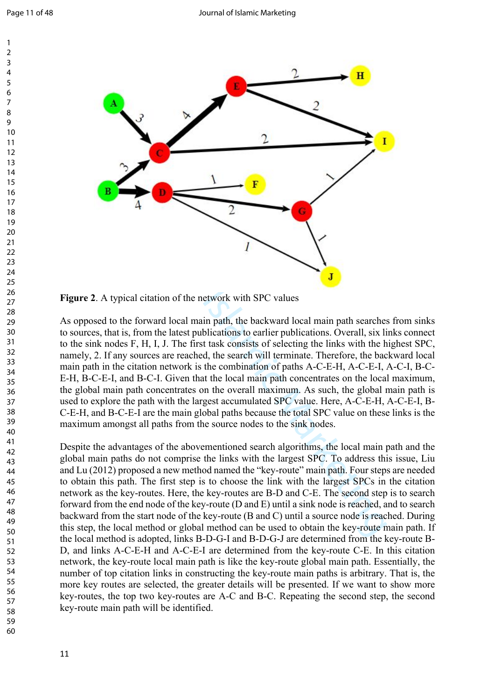

**Figure 2**. A typical citation of the network with SPC values

As opposed to the forward local main path, the backward local main path searches from sinks to sources, that is, from the latest publications to earlier publications. Overall, six links connect to the sink nodes F, H, I, J. The first task consists of selecting the links with the highest SPC, namely, 2. If any sources are reached, the search will terminate. Therefore, the backward local main path in the citation network is the combination of paths A-C-E-H, A-C-E-I, A-C-I, B-C-E-H, B-C-E-I, and B-C-I. Given that the local main path concentrates on the local maximum, the global main path concentrates on the overall maximum. As such, the global main path is used to explore the path with the largest accumulated SPC value. Here, A-C-E-H, A-C-E-I, B-C-E-H, and B-C-E-I are the main global paths because the total SPC value on these links is the maximum amongst all paths from the source nodes to the sink nodes.

Despite the advantages of the abovementioned search algorithms, the local main path and the global main paths do not comprise the links with the largest SPC. To address this issue, Liu and Lu (2012) proposed a new method named the "key-route" main path. Four steps are needed to obtain this path. The first step is to choose the link with the largest SPCs in the citation network as the key-routes. Here, the key-routes are B-D and C-E. The second step is to search forward from the end node of the key-route (D and E) until a sink node is reached, and to search backward from the start node of the key-route (B and C) until a source node is reached. During this step, the local method or global method can be used to obtain the key-route main path. If the local method is adopted, links B-D-G-I and B-D-G-J are determined from the key-route B-D, and links A-C-E-H and A-C-E-I are determined from the key-route C-E. In this citation network, the key-route local main path is like the key-route global main path. Essentially, the number of top citation links in constructing the key-route main paths is arbitrary. That is, the more key routes are selected, the greater details will be presented. If we want to show more key-routes, the top two key-routes are A-C and B-C. Repeating the second step, the second key-route main path will be identified.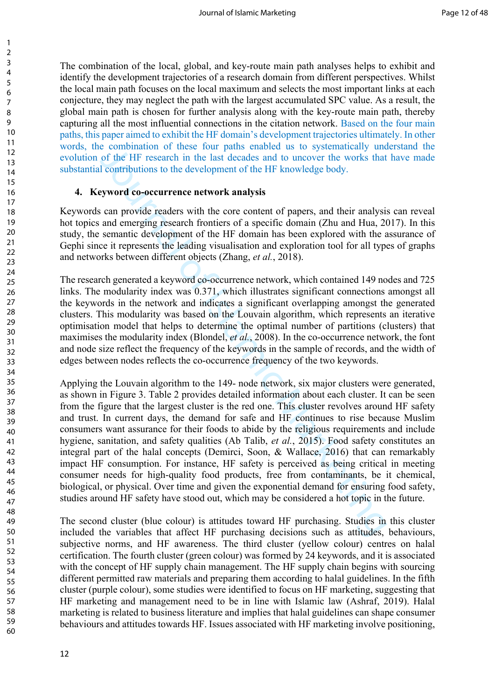The combination of the local, global, and key-route main path analyses helps to exhibit and identify the development trajectories of a research domain from different perspectives. Whilst the local main path focuses on the local maximum and selects the most important links at each conjecture, they may neglect the path with the largest accumulated SPC value. As a result, the global main path is chosen for further analysis along with the key-route main path, thereby capturing all the most influential connections in the citation network. Based on the four main paths, this paper aimed to exhibit the HF domain's development trajectories ultimately. In other words, the combination of these four paths enabled us to systematically understand the evolution of the HF research in the last decades and to uncover the works that have made substantial contributions to the development of the HF knowledge body.

#### **4. Keyword co-occurrence network analysis**

Keywords can provide readers with the core content of papers, and their analysis can reveal hot topics and emerging research frontiers of a specific domain (Zhu and Hua, 2017). In this study, the semantic development of the HF domain has been explored with the assurance of Gephi since it represents the leading visualisation and exploration tool for all types of graphs and networks between different objects (Zhang, *et al.*, 2018).

The research generated a keyword co-occurrence network, which contained 149 nodes and 725 links. The modularity index was 0.371, which illustrates significant connections amongst all the keywords in the network and indicates a significant overlapping amongst the generated clusters. This modularity was based on the Louvain algorithm, which represents an iterative optimisation model that helps to determine the optimal number of partitions (clusters) that maximises the modularity index (Blondel, *et al.*, 2008). In the co-occurrence network, the font and node size reflect the frequency of the keywords in the sample of records, and the width of edges between nodes reflects the co-occurrence frequency of the two keywords.

commation of these four pains enabled us to systematedly ume<br>of the HF research in the last decades and to uncover the works that<br>contributions to the development of the HF knowledge body.<br> **Syword co-occurrence network a** Applying the Louvain algorithm to the 149- node network, six major clusters were generated, as shown in Figure 3. Table 2 provides detailed information about each cluster. It can be seen from the figure that the largest cluster is the red one. This cluster revolves around HF safety and trust. In current days, the demand for safe and HF continues to rise because Muslim consumers want assurance for their foods to abide by the religious requirements and include hygiene, sanitation, and safety qualities (Ab Talib, *et al.*, 2015). Food safety constitutes an integral part of the halal concepts (Demirci, Soon, & Wallace, 2016) that can remarkably impact HF consumption. For instance, HF safety is perceived as being critical in meeting consumer needs for high-quality food products, free from contaminants, be it chemical, biological, or physical. Over time and given the exponential demand for ensuring food safety, studies around HF safety have stood out, which may be considered a hot topic in the future.

The second cluster (blue colour) is attitudes toward HF purchasing. Studies in this cluster included the variables that affect HF purchasing decisions such as attitudes, behaviours, subjective norms, and HF awareness. The third cluster (yellow colour) centres on halal certification. The fourth cluster (green colour) was formed by 24 keywords, and it is associated with the concept of HF supply chain management. The HF supply chain begins with sourcing different permitted raw materials and preparing them according to halal guidelines. In the fifth cluster (purple colour), some studies were identified to focus on HF marketing, suggesting that HF marketing and management need to be in line with Islamic law (Ashraf, 2019). Halal marketing is related to business literature and implies that halal guidelines can shape consumer behaviours and attitudes towards HF. Issues associated with HF marketing involve positioning,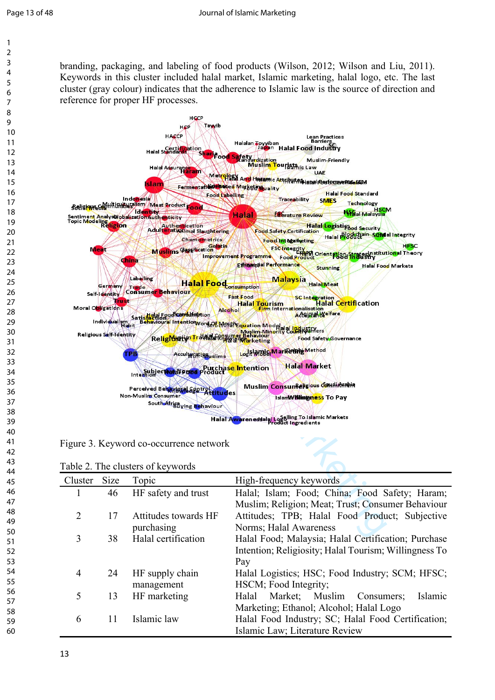branding, packaging, and labeling of food products (Wilson, 2012; Wilson and Liu, 2011). Keywords in this cluster included halal market, Islamic marketing, halal logo, etc. The last cluster (gray colour) indicates that the adherence to Islamic law is the source of direction and reference for proper HF processes.



Figure 3. Keyword co-occurrence network

| Table 2. The clusters of keywords |  |
|-----------------------------------|--|
|-----------------------------------|--|

| Cluster        | <b>Size</b> | Topic                | High-frequency keywords                               |
|----------------|-------------|----------------------|-------------------------------------------------------|
| 1              | 46          | HF safety and trust  | Halal; Islam; Food; China; Food Safety; Haram;        |
|                |             |                      | Muslim; Religion; Meat; Trust; Consumer Behaviour     |
| $\overline{2}$ | 17          | Attitudes towards HF | Attitudes; TPB; Halal Food Product; Subjective        |
|                |             | purchasing           | Norms; Halal Awareness                                |
| 3              | 38          | Halal certification  | Halal Food; Malaysia; Halal Certification; Purchase   |
|                |             |                      | Intention; Religiosity; Halal Tourism; Willingness To |
|                |             |                      | Pay                                                   |
| 4              | 24          | HF supply chain      | Halal Logistics; HSC; Food Industry; SCM; HFSC;       |
|                |             | management           | HSCM; Food Integrity;                                 |
| 5              | 13          | HF marketing         | Market;<br>Muslim<br>Islamic<br>Halal<br>Consumers;   |
|                |             |                      | Marketing; Ethanol; Alcohol; Halal Logo               |
| 6              | 11          | Islamic law          | Halal Food Industry; SC; Halal Food Certification;    |
|                |             |                      | Islamic Law; Literature Review                        |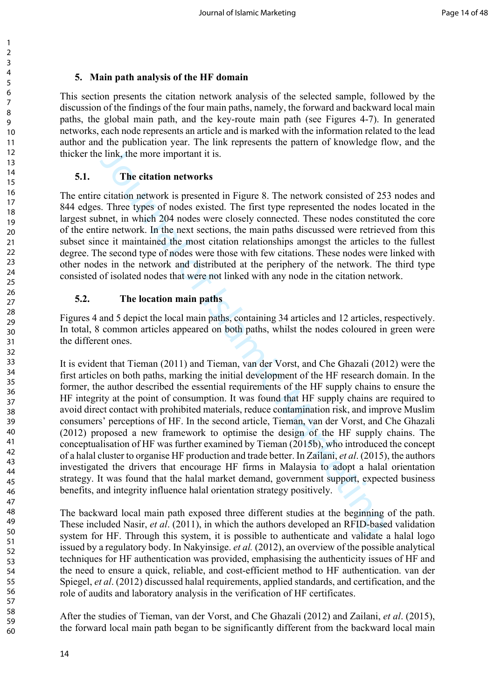## **5. Main path analysis of the HF domain**

This section presents the citation network analysis of the selected sample, followed by the discussion of the findings of the four main paths, namely, the forward and backward local main paths, the global main path, and the key-route main path (see Figures 4-7). In generated networks, each node represents an article and is marked with the information related to the lead author and the publication year. The link represents the pattern of knowledge flow, and the thicker the link, the more important it is.

## **5.1. The citation networks**

The entire citation network is presented in Figure 8. The network consisted of 253 nodes and 844 edges. Three types of nodes existed. The first type represented the nodes located in the largest subnet, in which 204 nodes were closely connected. These nodes constituted the core of the entire network. In the next sections, the main paths discussed were retrieved from this subset since it maintained the most citation relationships amongst the articles to the fullest degree. The second type of nodes were those with few citations. These nodes were linked with other nodes in the network and distributed at the periphery of the network. The third type consisted of isolated nodes that were not linked with any node in the citation network.

## **5.2. The location main paths**

Figures 4 and 5 depict the local main paths, containing 34 articles and 12 articles, respectively. In total, 8 common articles appeared on both paths, whilst the nodes coloured in green were the different ones.

Fig. 2011<br>
The citation networks<br>
citation networks<br>
citation networks<br>
citation networks<br>
citation networks<br>
citation networks<br>
S. Three types of nodes existed. The first type represented the nodes loo<br>
for the whet 204 It is evident that Tieman (2011) and Tieman, van der Vorst, and Che Ghazali (2012) were the first articles on both paths, marking the initial development of the HF research domain. In the former, the author described the essential requirements of the HF supply chains to ensure the HF integrity at the point of consumption. It was found that HF supply chains are required to avoid direct contact with prohibited materials, reduce contamination risk, and improve Muslim consumers' perceptions of HF. In the second article, Tieman, van der Vorst, and Che Ghazali (2012) proposed a new framework to optimise the design of the HF supply chains. The conceptualisation of HF was further examined by Tieman (2015b), who introduced the concept of a halal cluster to organise HF production and trade better. In Zailani, *et al*. (2015), the authors investigated the drivers that encourage HF firms in Malaysia to adopt a halal orientation strategy. It was found that the halal market demand, government support, expected business benefits, and integrity influence halal orientation strategy positively.

The backward local main path exposed three different studies at the beginning of the path. These included Nasir, *et al*. (2011), in which the authors developed an RFID-based validation system for HF. Through this system, it is possible to authenticate and validate a halal logo issued by a regulatory body. In Nakyinsige. *et al.* (2012), an overview of the possible analytical techniques for HF authentication was provided, emphasising the authenticity issues of HF and the need to ensure a quick, reliable, and cost-efficient method to HF authentication. van der Spiegel, *et al*. (2012) discussed halal requirements, applied standards, and certification, and the role of audits and laboratory analysis in the verification of HF certificates.

After the studies of Tieman, van der Vorst, and Che Ghazali (2012) and Zailani, *et al*. (2015), the forward local main path began to be significantly different from the backward local main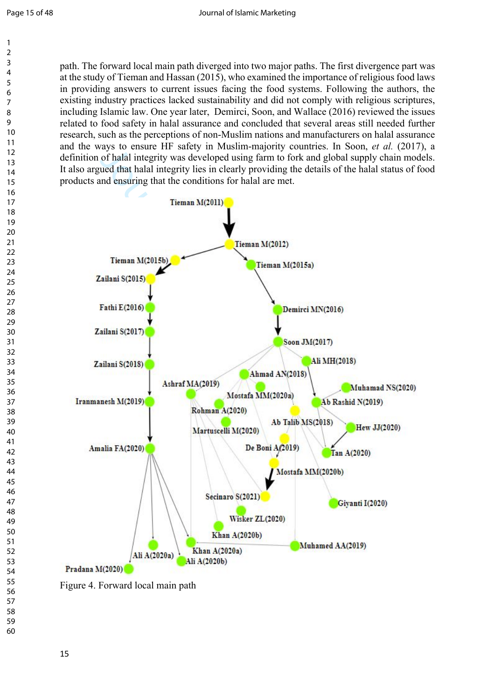path. The forward local main path diverged into two major paths. The first divergence part was at the study of Tieman and Hassan (2015), who examined the importance of religious food laws in providing answers to current issues facing the food systems. Following the authors, the existing industry practices lacked sustainability and did not comply with religious scriptures, including Islamic law. One year later, Demirci, Soon, and Wallace (2016) reviewed the issues related to food safety in halal assurance and concluded that several areas still needed further research, such as the perceptions of non-Muslim nations and manufacturers on halal assurance and the ways to ensure HF safety in Muslim-majority countries. In Soon, *et al.* (2017), a definition of halal integrity was developed using farm to fork and global supply chain models. It also argued that halal integrity lies in clearly providing the details of the halal status of food products and ensuring that the conditions for halal are met.



Figure 4. Forward local main path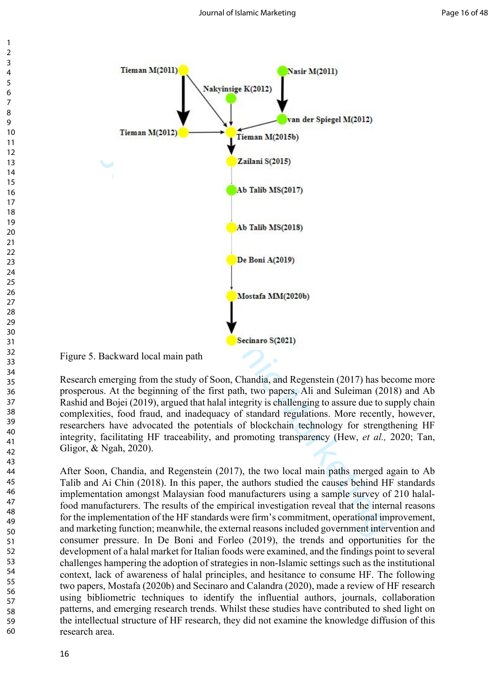

Figure 5. Backward local main path

Research emerging from the study of Soon, Chandia, and Regenstein (2017) has become more prosperous. At the beginning of the first path, two papers, Ali and Suleiman (2018) and Ab Rashid and Bojei (2019), argued that halal integrity is challenging to assure due to supply chain complexities, food fraud, and inadequacy of standard regulations. More recently, however, researchers have advocated the potentials of blockchain technology for strengthening HF integrity, facilitating HF traceability, and promoting transparency (Hew, *et al.,* 2020; Tan, Gligor, & Ngah, 2020).

After Soon, Chandia, and Regenstein (2017), the two local main paths merged again to Ab Talib and Ai Chin (2018). In this paper, the authors studied the causes behind HF standards implementation amongst Malaysian food manufacturers using a sample survey of 210 halalfood manufacturers. The results of the empirical investigation reveal that the internal reasons for the implementation of the HF standards were firm's commitment, operational improvement, and marketing function; meanwhile, the external reasons included government intervention and consumer pressure. In De Boni and Forleo (2019), the trends and opportunities for the development of a halal market for Italian foods were examined, and the findings point to several challenges hampering the adoption of strategies in non-Islamic settings such as the institutional context, lack of awareness of halal principles, and hesitance to consume HF. The following two papers, Mostafa (2020b) and Secinaro and Calandra (2020), made a review of HF research using bibliometric techniques to identify the influential authors, journals, collaboration patterns, and emerging research trends. Whilst these studies have contributed to shed light on the intellectual structure of HF research, they did not examine the knowledge diffusion of this research area.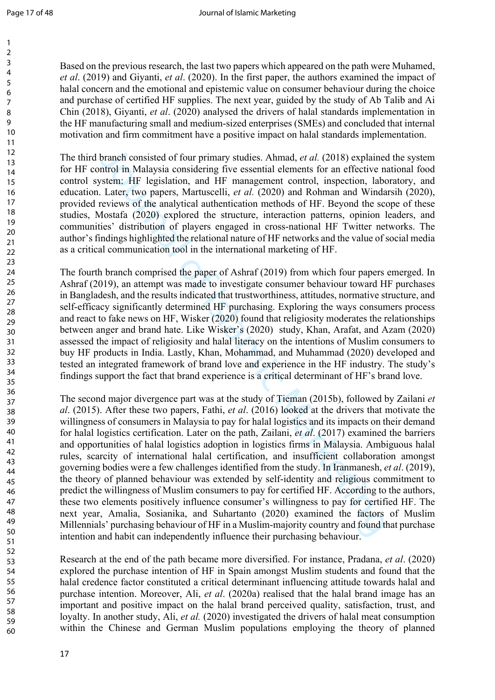Based on the previous research, the last two papers which appeared on the path were Muhamed, *et al*. (2019) and Giyanti, *et al*. (2020). In the first paper, the authors examined the impact of halal concern and the emotional and epistemic value on consumer behaviour during the choice and purchase of certified HF supplies. The next year, guided by the study of Ab Talib and Ai Chin (2018), Giyanti, *et al*. (2020) analysed the drivers of halal standards implementation in the HF manufacturing small and medium-sized enterprises (SMEs) and concluded that internal motivation and firm commitment have a positive impact on halal standards implementation.

The third branch consisted of four primary studies. Ahmad, *et al.* (2018) explained the system for HF control in Malaysia considering five essential elements for an effective national food control system: HF legislation, and HF management control, inspection, laboratory, and education. Later, two papers, Martuscelli, *et al.* (2020) and Rohman and Windarsih (2020), provided reviews of the analytical authentication methods of HF. Beyond the scope of these studies, Mostafa (2020) explored the structure, interaction patterns, opinion leaders, and communities' distribution of players engaged in cross-national HF Twitter networks. The author's findings highlighted the relational nature of HF networks and the value of social media as a critical communication tool in the international marketing of HF.

The fourth branch comprised the paper of Ashraf (2019) from which four papers emerged. In Ashraf (2019), an attempt was made to investigate consumer behaviour toward HF purchases in Bangladesh, and the results indicated that trustworthiness, attitudes, normative structure, and self-efficacy significantly determined HF purchasing. Exploring the ways consumers process and react to fake news on HF, Wisker (2020) found that religiosity moderates the relationships between anger and brand hate. Like Wisker's (2020) study, Khan, Arafat, and Azam (2020) assessed the impact of religiosity and halal literacy on the intentions of Muslim consumers to buy HF products in India. Lastly, Khan, Mohammad, and Muhammad (2020) developed and tested an integrated framework of brand love and experience in the HF industry. The study's findings support the fact that brand experience is a critical determinant of HF's brand love.

branch consisted of four primary studies. Ahmad, *et al.* (2018) explained<br>trol in Malaysia considering five essential elements for an effective n<br>system: HF legislation, and HF management control, inspection, labor<br>Later The second major divergence part was at the study of Tieman (2015b), followed by Zailani *et al*. (2015). After these two papers, Fathi, *et al*. (2016) looked at the drivers that motivate the willingness of consumers in Malaysia to pay for halal logistics and its impacts on their demand for halal logistics certification. Later on the path, Zailani, *et al*. (2017) examined the barriers and opportunities of halal logistics adoption in logistics firms in Malaysia. Ambiguous halal rules, scarcity of international halal certification, and insufficient collaboration amongst governing bodies were a few challenges identified from the study. In Iranmanesh, *et al*. (2019), the theory of planned behaviour was extended by self-identity and religious commitment to predict the willingness of Muslim consumers to pay for certified HF. According to the authors, these two elements positively influence consumer's willingness to pay for certified HF. The next year, Amalia, Sosianika, and Suhartanto (2020) examined the factors of Muslim Millennials' purchasing behaviour of HF in a Muslim-majority country and found that purchase intention and habit can independently influence their purchasing behaviour.

Research at the end of the path became more diversified. For instance, Pradana, *et al*. (2020) explored the purchase intention of HF in Spain amongst Muslim students and found that the halal credence factor constituted a critical determinant influencing attitude towards halal and purchase intention. Moreover, Ali, *et al*. (2020a) realised that the halal brand image has an important and positive impact on the halal brand perceived quality, satisfaction, trust, and loyalty. In another study, Ali, *et al.* (2020) investigated the drivers of halal meat consumption within the Chinese and German Muslim populations employing the theory of planned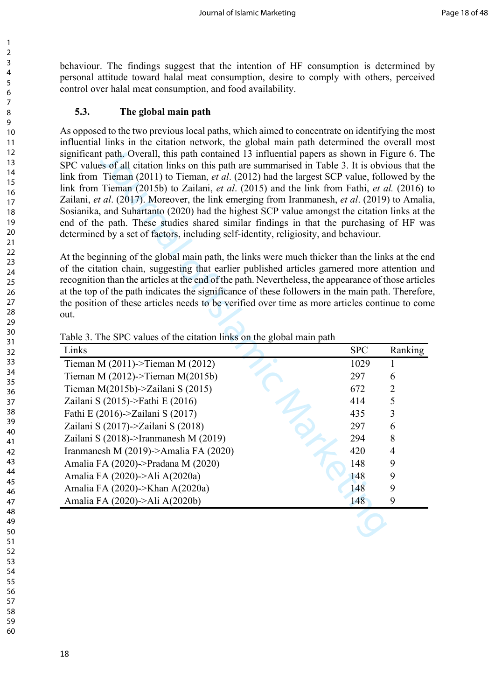behaviour. The findings suggest that the intention of HF consumption is determined by personal attitude toward halal meat consumption, desire to comply with others, perceived control over halal meat consumption, and food availability.

#### **5.3. The global main path**

As opposed to the two previous local paths, which aimed to concentrate on identifying the most influential links in the citation network, the global main path determined the overall most significant path. Overall, this path contained 13 influential papers as shown in Figure 6. The SPC values of all citation links on this path are summarised in Table 3. It is obvious that the link from Tieman (2011) to Tieman, *et al*. (2012) had the largest SCP value, followed by the link from Tieman (2015b) to Zailani, *et al*. (2015) and the link from Fathi, *et al.* (2016) to Zailani, *et al*. (2017). Moreover, the link emerging from Iranmanesh, *et al*. (2019) to Amalia, Sosianika, and Suhartanto (2020) had the highest SCP value amongst the citation links at the end of the path. These studies shared similar findings in that the purchasing of HF was determined by a set of factors, including self-identity, religiosity, and behaviour.

| significant path. Overall, this path contained 13 influential papers as shown in Figure 6. Th<br>SPC values of all citation links on this path are summarised in Table 3. It is obvious that the<br>link from Tieman (2011) to Tieman, et al. (2012) had the largest SCP value, followed by the<br>link from Tieman (2015b) to Zailani, et al. (2015) and the link from Fathi, et al. (2016) t<br>Zailani, et al. (2017). Moreover, the link emerging from Iranmanesh, et al. (2019) to Amalia<br>Sosianika, and Suhartanto (2020) had the highest SCP value amongst the citation links at th<br>end of the path. These studies shared similar findings in that the purchasing of HF was<br>determined by a set of factors, including self-identity, religiosity, and behaviour.<br>At the beginning of the global main path, the links were much thicker than the links at the en<br>of the citation chain, suggesting that earlier published articles garnered more attention an<br>recognition than the articles at the end of the path. Nevertheless, the appearance of those article<br>at the top of the path indicates the significance of these followers in the main path. Therefore<br>the position of these articles needs to be verified over time as more articles continue to com<br>out. |            |                |
|---------------------------------------------------------------------------------------------------------------------------------------------------------------------------------------------------------------------------------------------------------------------------------------------------------------------------------------------------------------------------------------------------------------------------------------------------------------------------------------------------------------------------------------------------------------------------------------------------------------------------------------------------------------------------------------------------------------------------------------------------------------------------------------------------------------------------------------------------------------------------------------------------------------------------------------------------------------------------------------------------------------------------------------------------------------------------------------------------------------------------------------------------------------------------------------------------------------------------------------------------------------------------------------------------------|------------|----------------|
|                                                                                                                                                                                                                                                                                                                                                                                                                                                                                                                                                                                                                                                                                                                                                                                                                                                                                                                                                                                                                                                                                                                                                                                                                                                                                                         |            |                |
| Table 3. The SPC values of the citation links on the global main path                                                                                                                                                                                                                                                                                                                                                                                                                                                                                                                                                                                                                                                                                                                                                                                                                                                                                                                                                                                                                                                                                                                                                                                                                                   |            |                |
| Links                                                                                                                                                                                                                                                                                                                                                                                                                                                                                                                                                                                                                                                                                                                                                                                                                                                                                                                                                                                                                                                                                                                                                                                                                                                                                                   | <b>SPC</b> | Ranking        |
| Tieman M (2011)->Tieman M (2012)                                                                                                                                                                                                                                                                                                                                                                                                                                                                                                                                                                                                                                                                                                                                                                                                                                                                                                                                                                                                                                                                                                                                                                                                                                                                        | 1029       | 1              |
| Tieman M $(2012)$ ->Tieman M $(2015b)$                                                                                                                                                                                                                                                                                                                                                                                                                                                                                                                                                                                                                                                                                                                                                                                                                                                                                                                                                                                                                                                                                                                                                                                                                                                                  | 297        | 6              |
| Tieman M(2015b)->Zailani S (2015)                                                                                                                                                                                                                                                                                                                                                                                                                                                                                                                                                                                                                                                                                                                                                                                                                                                                                                                                                                                                                                                                                                                                                                                                                                                                       | 672        | $\overline{2}$ |
|                                                                                                                                                                                                                                                                                                                                                                                                                                                                                                                                                                                                                                                                                                                                                                                                                                                                                                                                                                                                                                                                                                                                                                                                                                                                                                         |            | 5              |
| Zailani S (2015)->Fathi E (2016)                                                                                                                                                                                                                                                                                                                                                                                                                                                                                                                                                                                                                                                                                                                                                                                                                                                                                                                                                                                                                                                                                                                                                                                                                                                                        | 414        |                |
| Fathi E (2016)->Zailani S (2017)                                                                                                                                                                                                                                                                                                                                                                                                                                                                                                                                                                                                                                                                                                                                                                                                                                                                                                                                                                                                                                                                                                                                                                                                                                                                        | 435        | $\overline{3}$ |
| Zailani S (2017)->Zailani S (2018)                                                                                                                                                                                                                                                                                                                                                                                                                                                                                                                                                                                                                                                                                                                                                                                                                                                                                                                                                                                                                                                                                                                                                                                                                                                                      | 297        | 6              |
| Zailani S (2018)->Iranmanesh M (2019)                                                                                                                                                                                                                                                                                                                                                                                                                                                                                                                                                                                                                                                                                                                                                                                                                                                                                                                                                                                                                                                                                                                                                                                                                                                                   | 294        | 8              |
| Iranmanesh M (2019)->Amalia FA (2020)                                                                                                                                                                                                                                                                                                                                                                                                                                                                                                                                                                                                                                                                                                                                                                                                                                                                                                                                                                                                                                                                                                                                                                                                                                                                   | 420        | $\overline{4}$ |
| Amalia FA (2020)->Pradana M (2020)                                                                                                                                                                                                                                                                                                                                                                                                                                                                                                                                                                                                                                                                                                                                                                                                                                                                                                                                                                                                                                                                                                                                                                                                                                                                      | 148        | 9              |
| Amalia FA (2020)->Ali A(2020a)                                                                                                                                                                                                                                                                                                                                                                                                                                                                                                                                                                                                                                                                                                                                                                                                                                                                                                                                                                                                                                                                                                                                                                                                                                                                          | 148        | 9              |
| Amalia FA (2020)->Khan A(2020a)                                                                                                                                                                                                                                                                                                                                                                                                                                                                                                                                                                                                                                                                                                                                                                                                                                                                                                                                                                                                                                                                                                                                                                                                                                                                         | 148        | 9              |
| Amalia FA (2020)->Ali A(2020b)                                                                                                                                                                                                                                                                                                                                                                                                                                                                                                                                                                                                                                                                                                                                                                                                                                                                                                                                                                                                                                                                                                                                                                                                                                                                          | 148        | 9              |

Table 3. The SPC values of the citation links on the global main path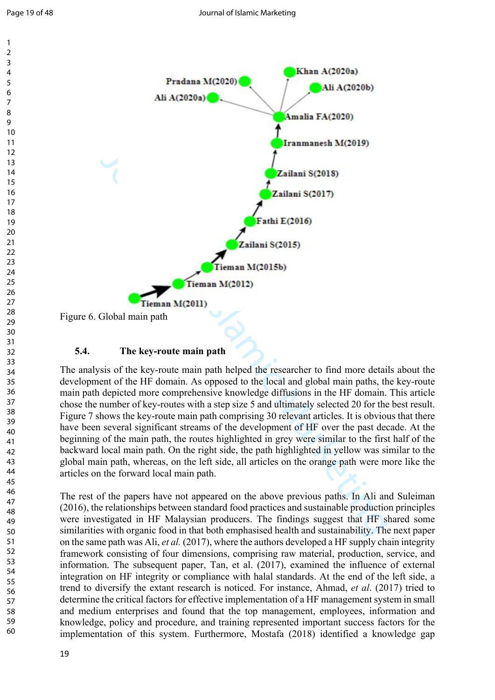



#### **5.4. The key-route main path**

The analysis of the key-route main path helped the researcher to find more details about the development of the HF domain. As opposed to the local and global main paths, the key-route main path depicted more comprehensive knowledge diffusions in the HF domain. This article chose the number of key-routes with a step size 5 and ultimately selected 20 for the best result. Figure 7 shows the key-route main path comprising 30 relevant articles. It is obvious that there have been several significant streams of the development of HF over the past decade. At the beginning of the main path, the routes highlighted in grey were similar to the first half of the backward local main path. On the right side, the path highlighted in yellow was similar to the global main path, whereas, on the left side, all articles on the orange path were more like the articles on the forward local main path.

The rest of the papers have not appeared on the above previous paths. In Ali and Suleiman (2016), the relationships between standard food practices and sustainable production principles were investigated in HF Malaysian producers. The findings suggest that HF shared some similarities with organic food in that both emphasised health and sustainability. The next paper on the same path was Ali, *et al.* (2017), where the authors developed a HF supply chain integrity framework consisting of four dimensions, comprising raw material, production, service, and information. The subsequent paper, Tan, et al. (2017), examined the influence of external integration on HF integrity or compliance with halal standards. At the end of the left side, a trend to diversify the extant research is noticed. For instance, Ahmad, *et al*. (2017) tried to determine the critical factors for effective implementation of a HF management system in small and medium enterprises and found that the top management, employees, information and knowledge, policy and procedure, and training represented important success factors for the implementation of this system. Furthermore, Mostafa (2018) identified a knowledge gap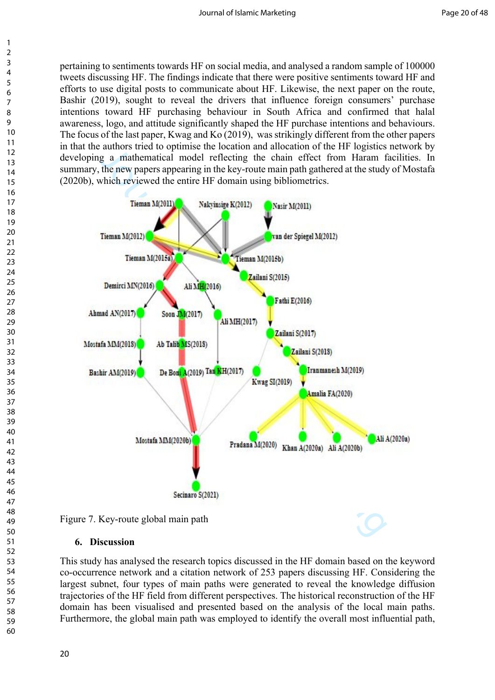pertaining to sentiments towards HF on social media, and analysed a random sample of 100000 tweets discussing HF. The findings indicate that there were positive sentiments toward HF and efforts to use digital posts to communicate about HF. Likewise, the next paper on the route, Bashir (2019), sought to reveal the drivers that influence foreign consumers' purchase intentions toward HF purchasing behaviour in South Africa and confirmed that halal awareness, logo, and attitude significantly shaped the HF purchase intentions and behaviours. The focus of the last paper, Kwag and Ko (2019), was strikingly different from the other papers in that the authors tried to optimise the location and allocation of the HF logistics network by developing a mathematical model reflecting the chain effect from Haram facilities. In summary, the new papers appearing in the key-route main path gathered at the study of Mostafa (2020b), which reviewed the entire HF domain using bibliometrics.



Figure 7. Key-route global main path

#### **6. Discussion**

This study has analysed the research topics discussed in the HF domain based on the keyword co-occurrence network and a citation network of 253 papers discussing HF. Considering the largest subnet, four types of main paths were generated to reveal the knowledge diffusion trajectories of the HF field from different perspectives. The historical reconstruction of the HF domain has been visualised and presented based on the analysis of the local main paths. Furthermore, the global main path was employed to identify the overall most influential path,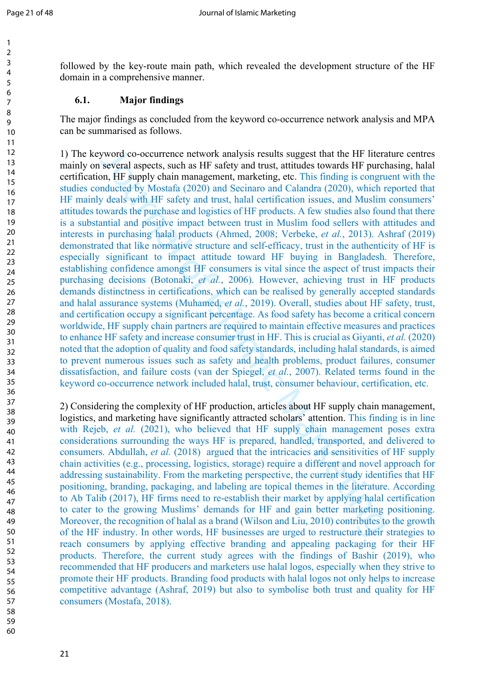followed by the key-route main path, which revealed the development structure of the HF domain in a comprehensive manner.

### **6.1. Major findings**

The major findings as concluded from the keyword co-occurrence network analysis and MPA can be summarised as follows.

yword co-occurrence network analysis results suggest that the HF litera<br>
several aspects, such as HF safety and trust, attitudes towards HF purch<br>
on, HF supply chain management, marketing, etc. This finding is congrud<br>
on 1) The keyword co-occurrence network analysis results suggest that the HF literature centres mainly on several aspects, such as HF safety and trust, attitudes towards HF purchasing, halal certification, HF supply chain management, marketing, etc. This finding is congruent with the studies conducted by Mostafa (2020) and Secinaro and Calandra (2020), which reported that HF mainly deals with HF safety and trust, halal certification issues, and Muslim consumers' attitudes towards the purchase and logistics of HF products. A few studies also found that there is a substantial and positive impact between trust in Muslim food sellers with attitudes and interests in purchasing halal products (Ahmed, 2008; Verbeke, *et al.*, 2013). Ashraf (2019) demonstrated that like normative structure and self-efficacy, trust in the authenticity of HF is especially significant to impact attitude toward HF buying in Bangladesh. Therefore, establishing confidence amongst HF consumers is vital since the aspect of trust impacts their purchasing decisions (Botonaki, *et al.*, 2006). However, achieving trust in HF products demands distinctness in certifications, which can be realised by generally accepted standards and halal assurance systems (Muhamed, *et al.*, 2019). Overall, studies about HF safety, trust, and certification occupy a significant percentage. As food safety has become a critical concern worldwide, HF supply chain partners are required to maintain effective measures and practices to enhance HF safety and increase consumer trust in HF. This is crucial as Giyanti, *et al.* (2020) noted that the adoption of quality and food safety standards, including halal standards, is aimed to prevent numerous issues such as safety and health problems, product failures, consumer dissatisfaction, and failure costs (van der Spiegel, *et al.*, 2007). Related terms found in the keyword co-occurrence network included halal, trust, consumer behaviour, certification, etc.

2) Considering the complexity of HF production, articles about HF supply chain management, logistics, and marketing have significantly attracted scholars' attention. This finding is in line with Rejeb, *et al.* (2021), who believed that HF supply chain management poses extra considerations surrounding the ways HF is prepared, handled, transported, and delivered to consumers. Abdullah, *et al.* (2018) argued that the intricacies and sensitivities of HF supply chain activities (e.g., processing, logistics, storage) require a different and novel approach for addressing sustainability. From the marketing perspective, the current study identifies that HF positioning, branding, packaging, and labeling are topical themes in the literature. According to Ab Talib (2017), HF firms need to re-establish their market by applying halal certification to cater to the growing Muslims' demands for HF and gain better marketing positioning. Moreover, the recognition of halal as a brand (Wilson and Liu, 2010) contributes to the growth of the HF industry. In other words, HF businesses are urged to restructure their strategies to reach consumers by applying effective branding and appealing packaging for their HF products. Therefore, the current study agrees with the findings of Bashir (2019), who recommended that HF producers and marketers use halal logos, especially when they strive to promote their HF products. Branding food products with halal logos not only helps to increase competitive advantage (Ashraf, 2019) but also to symbolise both trust and quality for HF consumers (Mostafa, 2018).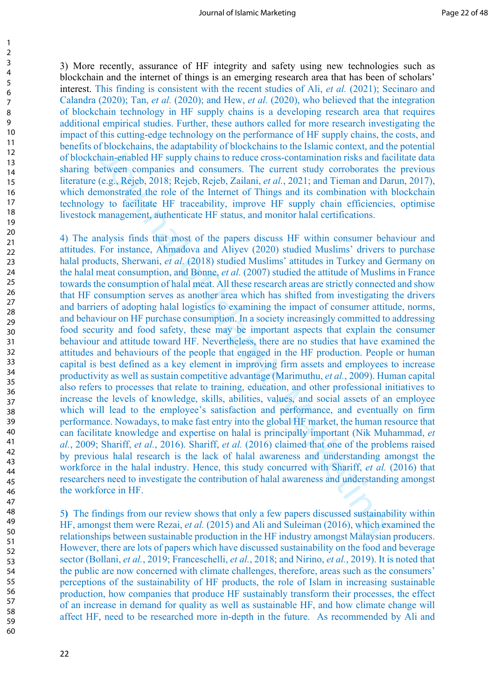3) More recently, assurance of HF integrity and safety using new technologies such as blockchain and the internet of things is an emerging research area that has been of scholars' interest. This finding is consistent with the recent studies of Ali, *et al.* (2021); Secinaro and Calandra (2020); Tan, *et al.* (2020); and Hew, *et al.* (2020), who believed that the integration of blockchain technology in HF supply chains is a developing research area that requires additional empirical studies. Further, these authors called for more research investigating the impact of this cutting-edge technology on the performance of HF supply chains, the costs, and benefits of blockchains, the adaptability of blockchains to the Islamic context, and the potential of blockchain-enabled HF supply chains to reduce cross-contamination risks and facilitate data sharing between companies and consumers. The current study corroborates the previous literature (e.g., Rejeb, 2018; Rejeb, Rejeb, Zailani, *et al.*, 2021; and Tieman and Darun, 2017), which demonstrated the role of the Internet of Things and its combination with blockchain technology to facilitate HF traceability, improve HF supply chain efficiencies, optimise livestock management, authenticate HF status, and monitor halal certifications.

notoexemans, the atapplating to thoecken<br>anti-enabled HF supply chains to trede cross-contamination risks and fetween companies and consumers. The current study corroborates telting,<br>the effect of the redeficient of Thing 4) The analysis finds that most of the papers discuss HF within consumer behaviour and attitudes. For instance, Ahmadova and Aliyev (2020) studied Muslims' drivers to purchase halal products, Sherwani, *et al.* (2018) studied Muslims' attitudes in Turkey and Germany on the halal meat consumption, and Bonne, *et al.* (2007) studied the attitude of Muslims in France towards the consumption of halal meat. All these research areas are strictly connected and show that HF consumption serves as another area which has shifted from investigating the drivers and barriers of adopting halal logistics to examining the impact of consumer attitude, norms, and behaviour on HF purchase consumption. In a society increasingly committed to addressing food security and food safety, these may be important aspects that explain the consumer behaviour and attitude toward HF. Nevertheless, there are no studies that have examined the attitudes and behaviours of the people that engaged in the HF production. People or human capital is best defined as a key element in improving firm assets and employees to increase productivity as well as sustain competitive advantage (Marimuthu, *et al.*, 2009). Human capital also refers to processes that relate to training, education, and other professional initiatives to increase the levels of knowledge, skills, abilities, values, and social assets of an employee which will lead to the employee's satisfaction and performance, and eventually on firm performance. Nowadays, to make fast entry into the global HF market, the human resource that can facilitate knowledge and expertise on halal is principally important (Nik Muhammad, *et al.*, 2009; Shariff, *et al.*, 2016). Shariff, *et al.* (2016) claimed that one of the problems raised by previous halal research is the lack of halal awareness and understanding amongst the workforce in the halal industry. Hence, this study concurred with Shariff, *et al.* (2016) that researchers need to investigate the contribution of halal awareness and understanding amongst the workforce in HF.

5**)** The findings from our review shows that only a few papers discussed sustainability within HF, amongst them were Rezai, *et al.* (2015) and Ali and Suleiman (2016), which examined the relationships between sustainable production in the HF industry amongst Malaysian producers. However, there are lots of papers which have discussed sustainability on the food and beverage sector (Bollani, *et al.*, 2019; Franceschelli, *et al.*, 2018; and Nirino, *et al.*, 2019). It is noted that the public are now concerned with climate challenges, therefore, areas such as the consumers' perceptions of the sustainability of HF products, the role of Islam in increasing sustainable production, how companies that produce HF sustainably transform their processes, the effect of an increase in demand for quality as well as sustainable HF, and how climate change will affect HF, need to be researched more in-depth in the future. As recommended by Ali and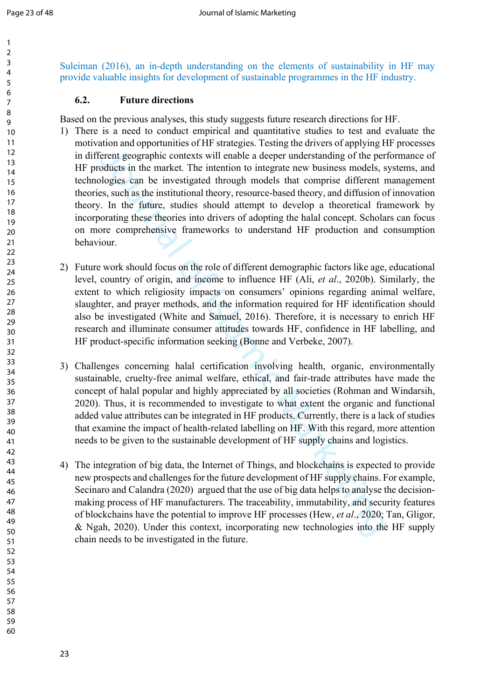Suleiman (2016), an in-depth understanding on the elements of sustainability in HF may provide valuable insights for development of sustainable programmes in the HF industry.

## **6.2. Future directions**

Based on the previous analyses, this study suggests future research directions for HF.

- meant and experimentation to the state of the state of the state of the state of the percent geographic contexts will enable a deeper understanding of the percent<br>of dottes in the market. The intention to integrate new bus 1) There is a need to conduct empirical and quantitative studies to test and evaluate the motivation and opportunities of HF strategies. Testing the drivers of applying HF processes in different geographic contexts will enable a deeper understanding of the performance of HF products in the market. The intention to integrate new business models, systems, and technologies can be investigated through models that comprise different management theories, such as the institutional theory, resource-based theory, and diffusion of innovation theory. In the future, studies should attempt to develop a theoretical framework by incorporating these theories into drivers of adopting the halal concept. Scholars can focus on more comprehensive frameworks to understand HF production and consumption behaviour.
- 2) Future work should focus on the role of different demographic factors like age, educational level, country of origin, and income to influence HF (Ali, *et al*., 2020b). Similarly, the extent to which religiosity impacts on consumers' opinions regarding animal welfare, slaughter, and prayer methods, and the information required for HF identification should also be investigated (White and Samuel, 2016). Therefore, it is necessary to enrich HF research and illuminate consumer attitudes towards HF, confidence in HF labelling, and HF product-specific information seeking (Bonne and Verbeke, 2007).
- 3) Challenges concerning halal certification involving health, organic, environmentally sustainable, cruelty-free animal welfare, ethical, and fair-trade attributes have made the concept of halal popular and highly appreciated by all societies (Rohman and Windarsih, 2020). Thus, it is recommended to investigate to what extent the organic and functional added value attributes can be integrated in HF products. Currently, there is a lack of studies that examine the impact of health-related labelling on HF. With this regard, more attention needs to be given to the sustainable development of HF supply chains and logistics.
- 4) The integration of big data, the Internet of Things, and blockchains is expected to provide new prospects and challenges for the future development of HF supply chains. For example, Secinaro and Calandra (2020) argued that the use of big data helps to analyse the decisionmaking process of HF manufacturers. The traceability, immutability, and security features of blockchains have the potential to improve HF processes (Hew, *et al*., 2020; Tan, Gligor, & Ngah, 2020). Under this context, incorporating new technologies into the HF supply chain needs to be investigated in the future.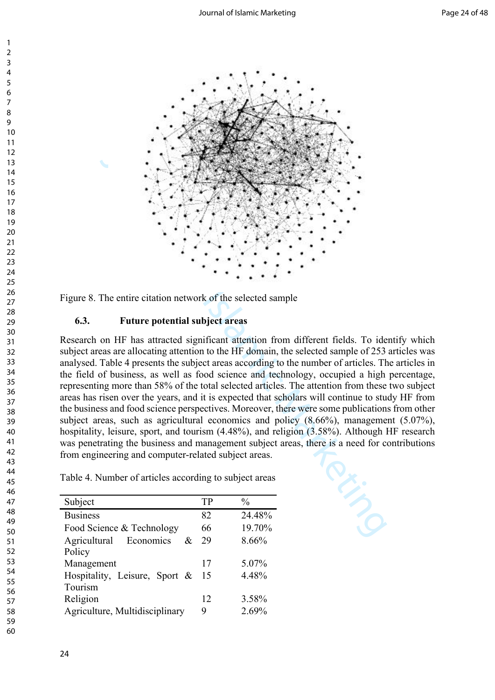

Figure 8. The entire citation network of the selected sample

### **6.3. Future potential subject areas**

Research on HF has attracted significant attention from different fields. To identify which subject areas are allocating attention to the HF domain, the selected sample of 253 articles was analysed. Table 4 presents the subject areas according to the number of articles. The articles in the field of business, as well as food science and technology, occupied a high percentage, representing more than 58% of the total selected articles. The attention from these two subject areas has risen over the years, and it is expected that scholars will continue to study HF from the business and food science perspectives. Moreover, there were some publications from other subject areas, such as agricultural economics and policy (8.66%), management (5.07%), hospitality, leisure, sport, and tourism (4.48%), and religion (3.58%). Although HF research was penetrating the business and management subject areas, there is a need for contributions from engineering and computer-related subject areas.

Table 4. Number of articles according to subject areas

| Subject                        | TP | $\frac{0}{0}$ |
|--------------------------------|----|---------------|
| <b>Business</b>                | 82 | 24.48%        |
| Food Science & Technology      | 66 | 19.70%        |
| Agricultural<br>Economics<br>& | 29 | 8.66%         |
| Policy                         |    |               |
| Management                     | 17 | 5.07%         |
| Hospitality, Leisure, Sport &  | 15 | 4.48%         |
| Tourism                        |    |               |
| Religion                       | 12 | 3.58%         |
| Agriculture, Multidisciplinary | 9  | 2.69%         |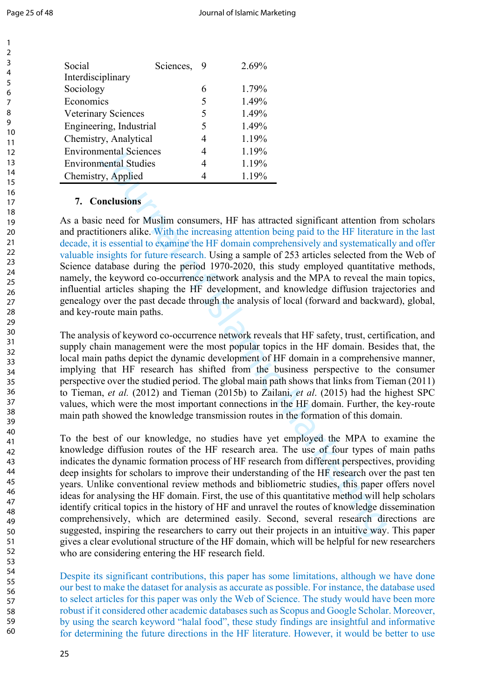| Social                        | Sciences, | 9 | $2.69\%$ |
|-------------------------------|-----------|---|----------|
| Interdisciplinary             |           |   |          |
| Sociology                     |           |   | 1.79%    |
| Economics                     |           | 5 | 1.49%    |
| Veterinary Sciences           |           |   | 1.49%    |
| Engineering, Industrial       |           |   | 1.49%    |
| Chemistry, Analytical         |           |   | 1.19%    |
| <b>Environmental Sciences</b> |           |   | 1.19%    |
| <b>Environmental Studies</b>  |           |   | 1.19%    |
| Chemistry, Applied            |           |   | 1.19%    |

## **7. Conclusions**

As a basic need for Muslim consumers, HF has attracted significant attention from scholars and practitioners alike. With the increasing attention being paid to the HF literature in the last decade, it is essential to examine the HF domain comprehensively and systematically and offer valuable insights for future research. Using a sample of 253 articles selected from the Web of Science database during the period 1970-2020, this study employed quantitative methods, namely, the keyword co-occurrence network analysis and the MPA to reveal the main topics, influential articles shaping the HF development, and knowledge diffusion trajectories and genealogy over the past decade through the analysis of local (forward and backward), global, and key-route main paths.

The analysis of keyword co-occurrence network reveals that HF safety, trust, certification, and supply chain management were the most popular topics in the HF domain. Besides that, the local main paths depict the dynamic development of HF domain in a comprehensive manner, implying that HF research has shifted from the business perspective to the consumer perspective over the studied period. The global main path shows that links from Tieman (2011) to Tieman, *et al.* (2012) and Tieman (2015b) to Zailani, *et al*. (2015) had the highest SPC values, which were the most important connections in the HF domain. Further, the key-route main path showed the knowledge transmission routes in the formation of this domain.

mental Sciences 4  $1.19\%$ <br>
mental Studies 4  $1.19\%$ <br>
metal Studies 4  $1.19\%$ <br>
metal Studies 4  $1.19\%$ <br>
metal of Muslim consumers, HF has attracted significant attention from<br>
tioners alice. With the increasing attenti To the best of our knowledge, no studies have yet employed the MPA to examine the knowledge diffusion routes of the HF research area. The use of four types of main paths indicates the dynamic formation process of HF research from different perspectives, providing deep insights for scholars to improve their understanding of the HF research over the past ten years. Unlike conventional review methods and bibliometric studies, this paper offers novel ideas for analysing the HF domain. First, the use of this quantitative method will help scholars identify critical topics in the history of HF and unravel the routes of knowledge dissemination comprehensively, which are determined easily. Second, several research directions are suggested, inspiring the researchers to carry out their projects in an intuitive way. This paper gives a clear evolutional structure of the HF domain, which will be helpful for new researchers who are considering entering the HF research field.

Despite its significant contributions, this paper has some limitations, although we have done our best to make the dataset for analysis as accurate as possible. For instance, the database used to select articles for this paper was only the Web of Science. The study would have been more robust if it considered other academic databases such as Scopus and Google Scholar. Moreover, by using the search keyword "halal food", these study findings are insightful and informative for determining the future directions in the HF literature. However, it would be better to use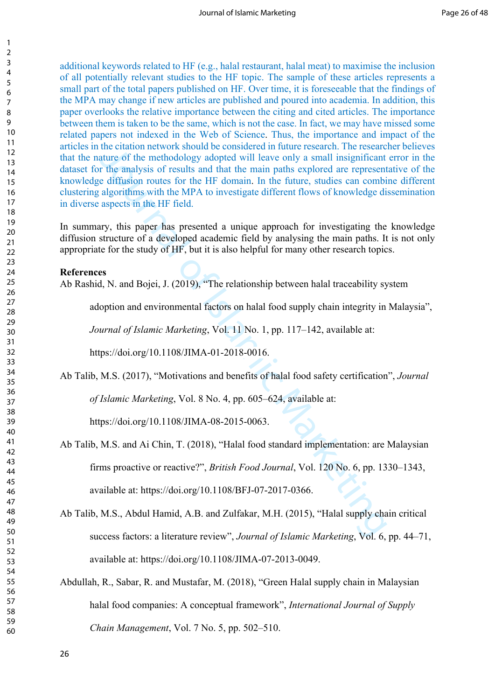the diation networs should be considered in tutter essearch. The research and that<br>that of the melthodology adopted will leave only a small insignificant<br>that the analysis of results and that the main paths explored are re additional keywords related to HF (e.g., halal restaurant, halal meat) to maximise the inclusion of all potentially relevant studies to the HF topic. The sample of these articles represents a small part of the total papers published on HF. Over time, it is foreseeable that the findings of the MPA may change if new articles are published and poured into academia. In addition, this paper overlooks the relative importance between the citing and cited articles. The importance between them is taken to be the same, which is not the case. In fact, we may have missed some related papers not indexed in the Web of Science. Thus, the importance and impact of the articles in the citation network should be considered in future research. The researcher believes that the nature of the methodology adopted will leave only a small insignificant error in the dataset for the analysis of results and that the main paths explored are representative of the knowledge diffusion routes for the HF domain. In the future, studies can combine different clustering algorithms with the MPA to investigate different flows of knowledge dissemination in diverse aspects in the HF field.

In summary, this paper has presented a unique approach for investigating the knowledge diffusion structure of a developed academic field by analysing the main paths. It is not only appropriate for the study of HF, but it is also helpful for many other research topics.

#### **References**

Ab Rashid, N. and Bojei, J. (2019), "The relationship between halal traceability system

adoption and environmental factors on halal food supply chain integrity in Malaysia",

*Journal of Islamic Marketing*, Vol. 11 No. 1, pp. 117–142, available at:

https://doi.org/10.1108/JIMA-01-2018-0016.

Ab Talib, M.S. (2017), "Motivations and benefits of halal food safety certification", *Journal* 

*of Islamic Marketing*, Vol. 8 No. 4, pp. 605–624, available at:

https://doi.org/10.1108/JIMA-08-2015-0063.

- Ab Talib, M.S. and Ai Chin, T. (2018), "Halal food standard implementation: are Malaysian firms proactive or reactive?", *British Food Journal*, Vol. 120 No. 6, pp. 1330–1343, available at: https://doi.org/10.1108/BFJ-07-2017-0366.
- Ab Talib, M.S., Abdul Hamid, A.B. and Zulfakar, M.H. (2015), "Halal supply chain critical success factors: a literature review", *Journal of Islamic Marketing*, Vol. 6, pp. 44–71, available at: https://doi.org/10.1108/JIMA-07-2013-0049.
- Abdullah, R., Sabar, R. and Mustafar, M. (2018), "Green Halal supply chain in Malaysian halal food companies: A conceptual framework", *International Journal of Supply Chain Management*, Vol. 7 No. 5, pp. 502–510.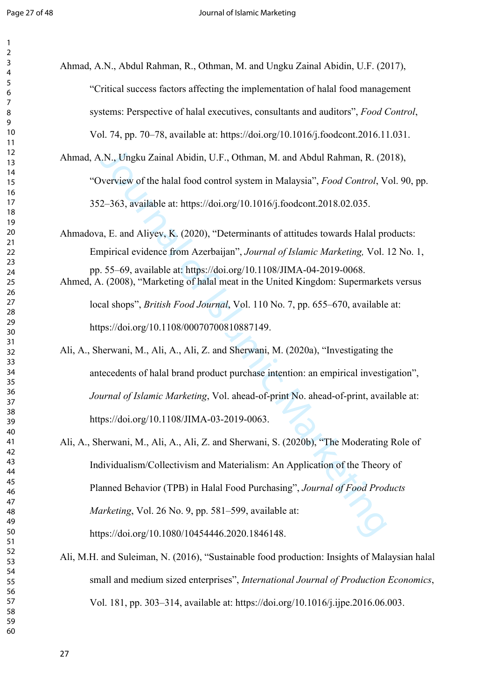| Ahmad, A.N., Abdul Rahman, R., Othman, M. and Ungku Zainal Abidin, U.F. (2017),                                                                              |
|--------------------------------------------------------------------------------------------------------------------------------------------------------------|
| "Critical success factors affecting the implementation of halal food management                                                                              |
| systems: Perspective of halal executives, consultants and auditors", Food Control,                                                                           |
| Vol. 74, pp. 70–78, available at: https://doi.org/10.1016/j.foodcont.2016.11.031.                                                                            |
| Ahmad, A.N., Ungku Zainal Abidin, U.F., Othman, M. and Abdul Rahman, R. (2018),                                                                              |
| "Overview of the halal food control system in Malaysia", Food Control, Vol. 90, pp.                                                                          |
| 352–363, available at: https://doi.org/10.1016/j.foodcont.2018.02.035.                                                                                       |
| Ahmadova, E. and Aliyev, K. (2020), "Determinants of attitudes towards Halal products:                                                                       |
| Empirical evidence from Azerbaijan", Journal of Islamic Marketing, Vol. 12 No. 1,                                                                            |
| pp. 55-69, available at: https://doi.org/10.1108/JIMA-04-2019-0068.<br>Ahmed, A. (2008), "Marketing of halal meat in the United Kingdom: Supermarkets versus |
| local shops", <i>British Food Journal</i> , Vol. 110 No. 7, pp. 655–670, available at:                                                                       |
| https://doi.org/10.1108/00070700810887149.                                                                                                                   |
| Ali, A., Sherwani, M., Ali, A., Ali, Z. and Sherwani, M. (2020a), "Investigating the                                                                         |
| antecedents of halal brand product purchase intention: an empirical investigation",                                                                          |
| Journal of Islamic Marketing, Vol. ahead-of-print No. ahead-of-print, available at:                                                                          |
| https://doi.org/10.1108/JIMA-03-2019-0063.                                                                                                                   |
| Ali, A., Sherwani, M., Ali, A., Ali, Z. and Sherwani, S. (2020b), "The Moderating Role of                                                                    |
| Individualism/Collectivism and Materialism: An Application of the Theory of                                                                                  |
| Planned Behavior (TPB) in Halal Food Purchasing", Journal of Food Products                                                                                   |
| <i>Marketing</i> , Vol. 26 No. 9, pp. 581–599, available at:                                                                                                 |
| https://doi.org/10.1080/10454446.2020.1846148.                                                                                                               |
| Ali, M.H. and Suleiman, N. (2016), "Sustainable food production: Insights of Malaysian halal                                                                 |
| small and medium sized enterprises", International Journal of Production Economics,                                                                          |
| Vol. 181, pp. 303-314, available at: https://doi.org/10.1016/j.ijpe.2016.06.003.                                                                             |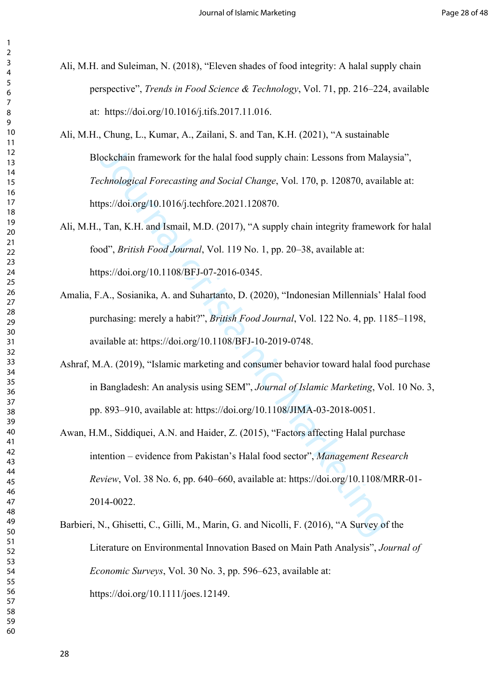- Ali, M.H. and Suleiman, N. (2018), "Eleven shades of food integrity: A halal supply chain perspective", *Trends in Food Science & Technology*, Vol. 71, pp. 216–224, available at: https://doi.org/10.1016/j.tifs.2017.11.016.
- Ali, M.H., Chung, L., Kumar, A., Zailani, S. and Tan, K.H. (2021), "A sustainable Blockchain framework for the halal food supply chain: Lessons from Malaysia", *Technological Forecasting and Social Change*, Vol. 170, p. 120870, available at: https://doi.org/10.1016/j.techfore.2021.120870.
- Ali, M.H., Tan, K.H. and Ismail, M.D. (2017), "A supply chain integrity framework for halal food", *British Food Journal*, Vol. 119 No. 1, pp. 20–38, available at: https://doi.org/10.1108/BFJ-07-2016-0345.
- Amalia, F.A., Sosianika, A. and Suhartanto, D. (2020), "Indonesian Millennials' Halal food purchasing: merely a habit?", *British Food Journal*, Vol. 122 No. 4, pp. 1185–1198, available at: https://doi.org/10.1108/BFJ-10-2019-0748.
- Ashraf, M.A. (2019), "Islamic marketing and consumer behavior toward halal food purchase in Bangladesh: An analysis using SEM", *Journal of Islamic Marketing*, Vol. 10 No. 3, pp. 893–910, available at: https://doi.org/10.1108/JIMA-03-2018-0051.
- ockchain framework for the halal food supply chain: Lessons from Mala<br>chnological Forecasting and Social Change, Vol. 170, p. 120870, availa<br>ps://doi.org/10.1016/j.techfore.2021.120870.<br>Tan, K.H. and Ismail, M.D. (2017), " Awan, H.M., Siddiquei, A.N. and Haider, Z. (2015), "Factors affecting Halal purchase intention – evidence from Pakistan's Halal food sector", *Management Research Review*, Vol. 38 No. 6, pp. 640–660, available at: https://doi.org/10.1108/MRR-01- 2014-0022.
- Barbieri, N., Ghisetti, C., Gilli, M., Marin, G. and Nicolli, F. (2016), "A Survey of the Literature on Environmental Innovation Based on Main Path Analysis", *Journal of Economic Surveys*, Vol. 30 No. 3, pp. 596–623, available at: https://doi.org/10.1111/joes.12149.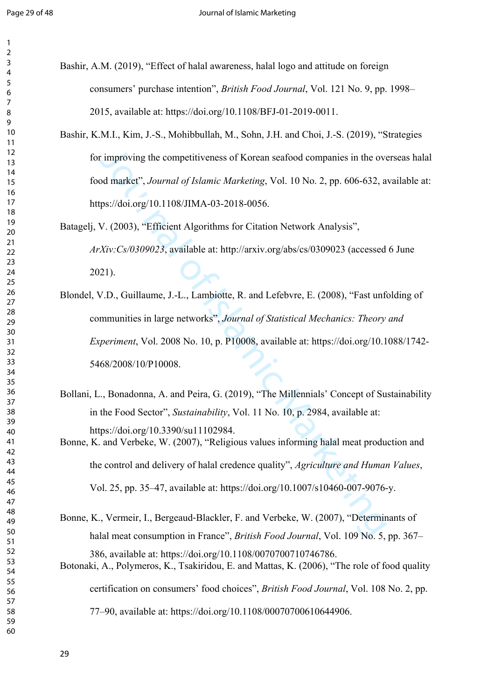- Bashir, A.M. (2019), "Effect of halal awareness, halal logo and attitude on foreign consumers' purchase intention", *British Food Journal*, Vol. 121 No. 9, pp. 1998– 2015, available at: https://doi.org/10.1108/BFJ-01-2019-0011.
- Bashir, K.M.I., Kim, J.-S., Mohibbullah, M., Sohn, J.H. and Choi, J.-S. (2019), "Strategies for improving the competitiveness of Korean seafood companies in the overseas halal food market", *Journal of Islamic Marketing*, Vol. 10 No. 2, pp. 606-632, available at: https://doi.org/10.1108/JIMA-03-2018-0056.
- Batagelj, V. (2003), "Efficient Algorithms for Citation Network Analysis", *ArXiv:Cs/0309023*, available at: http://arxiv.org/abs/cs/0309023 (accessed 6 June 2021).
- timproving the competitiveness of Korean seafood companies in the overal market", *Journal of Islamic Marketing*, Vol. 10 No. 2, pp. 606-632, a ps://doi.org/10.1108/JIMA-03-2018-0056.<br>V. (2003), "Efficient Algorithms for Blondel, V.D., Guillaume, J.-L., Lambiotte, R. and Lefebvre, E. (2008), "Fast unfolding of communities in large networks", *Journal of Statistical Mechanics: Theory and Experiment*, Vol. 2008 No. 10, p. P10008, available at: https://doi.org/10.1088/1742- 5468/2008/10/P10008.
- Bollani, L., Bonadonna, A. and Peira, G. (2019), "The Millennials' Concept of Sustainability in the Food Sector", *Sustainability*, Vol. 11 No. 10, p. 2984, available at: https://doi.org/10.3390/su11102984. Bonne, K. and Verbeke, W. (2007), "Religious values informing halal meat production and

the control and delivery of halal credence quality", *Agriculture and Human Values*, Vol. 25, pp. 35–47, available at: https://doi.org/10.1007/s10460-007-9076-y.

Bonne, K., Vermeir, I., Bergeaud‐Blackler, F. and Verbeke, W. (2007), "Determinants of halal meat consumption in France", *British Food Journal*, Vol. 109 No. 5, pp. 367– 386, available at: https://doi.org/10.1108/0070700710746786. Botonaki, A., Polymeros, K., Tsakiridou, E. and Mattas, K. (2006), "The role of food quality certification on consumers' food choices", *British Food Journal*, Vol. 108 No. 2, pp. 77–90, available at: https://doi.org/10.1108/00070700610644906.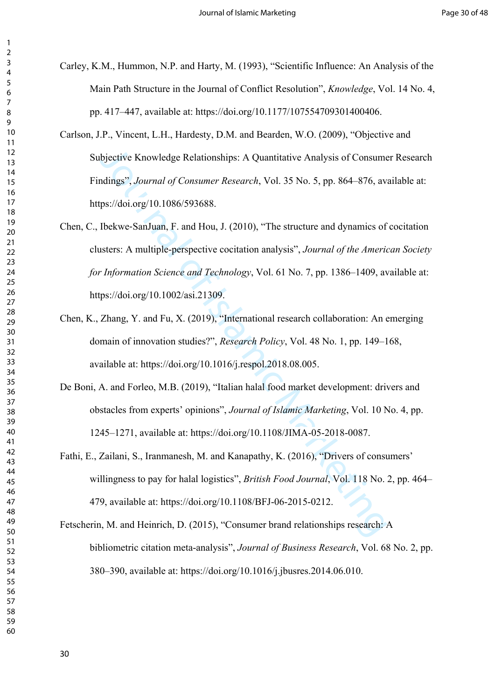- Carley, K.M., Hummon, N.P. and Harty, M. (1993), "Scientific Influence: An Analysis of the Main Path Structure in the Journal of Conflict Resolution", *Knowledge*, Vol. 14 No. 4, pp. 417–447, available at: https://doi.org/10.1177/107554709301400406.
- Carlson, J.P., Vincent, L.H., Hardesty, D.M. and Bearden, W.O. (2009), "Objective and Subjective Knowledge Relationships: A Quantitative Analysis of Consumer Research Findings", *Journal of Consumer Research*, Vol. 35 No. 5, pp. 864–876, available at: https://doi.org/10.1086/593688.
- bjective Knowledge Relationships: A Quantitative Analysis of Consum<br>ndings", Journal of Consumer Research, Vol. 35 No. 5, pp. 864–876, av<br>ps://doi.org/10.1086/593688.<br>Ibekwe-SanJuan, F. and Hou, J. (2010), "The structure a Chen, C., Ibekwe‐SanJuan, F. and Hou, J. (2010), "The structure and dynamics of cocitation clusters: A multiple-perspective cocitation analysis", *Journal of the American Society for Information Science and Technology*, Vol. 61 No. 7, pp. 1386–1409, available at: https://doi.org/10.1002/asi.21309.
- Chen, K., Zhang, Y. and Fu, X. (2019), "International research collaboration: An emerging domain of innovation studies?", *Research Policy*, Vol. 48 No. 1, pp. 149–168, available at: https://doi.org/10.1016/j.respol.2018.08.005.
- De Boni, A. and Forleo, M.B. (2019), "Italian halal food market development: drivers and obstacles from experts' opinions", *Journal of Islamic Marketing*, Vol. 10 No. 4, pp. 1245–1271, available at: https://doi.org/10.1108/JIMA-05-2018-0087.
- Fathi, E., Zailani, S., Iranmanesh, M. and Kanapathy, K. (2016), "Drivers of consumers' willingness to pay for halal logistics", *British Food Journal*, Vol. 118 No. 2, pp. 464– 479, available at: https://doi.org/10.1108/BFJ-06-2015-0212.
- Fetscherin, M. and Heinrich, D. (2015), "Consumer brand relationships research: A bibliometric citation meta-analysis", *Journal of Business Research*, Vol. 68 No. 2, pp. 380–390, available at: https://doi.org/10.1016/j.jbusres.2014.06.010.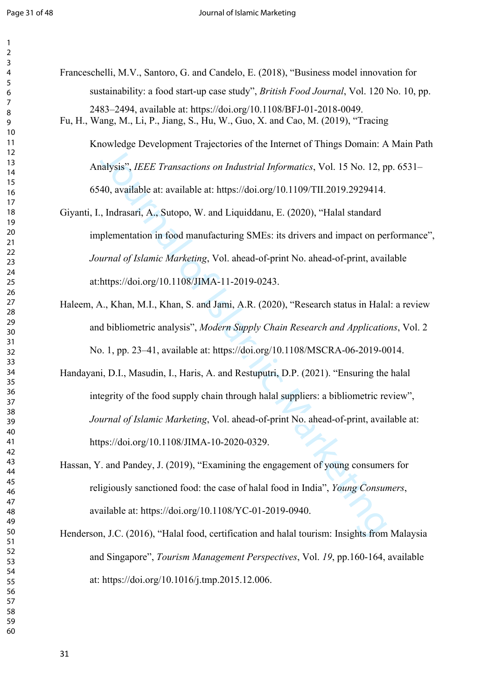| ξ                                         |
|-------------------------------------------|
|                                           |
| 4                                         |
| 5                                         |
| 6                                         |
|                                           |
|                                           |
| 8                                         |
| €<br>ĺ                                    |
| 10                                        |
| 1<br>$\mathbf{1}$                         |
|                                           |
| $\mathbf{1}$<br>2                         |
| $\mathbf{1}$<br>3                         |
| 4<br>1                                    |
| 15                                        |
|                                           |
| 16                                        |
| 1                                         |
| 18                                        |
| 19                                        |
|                                           |
| 20                                        |
| $\overline{21}$                           |
| $\overline{2}$<br>$\overline{2}$          |
| ξ                                         |
| $\overline{2}$                            |
| $\frac{24}{3}$                            |
| 25                                        |
| 26                                        |
|                                           |
| $\frac{27}{2}$                            |
| $^{28}$                                   |
| 29                                        |
| 30                                        |
|                                           |
| $\overline{\textbf{3}}$                   |
| $\overline{\mathbf{S}}$<br>$\overline{2}$ |
|                                           |
|                                           |
| $\overline{\mathbf{S}}$<br>3              |
| 3.<br>4                                   |
| 35                                        |
| 36                                        |
|                                           |
| 37                                        |
| 88                                        |
| C                                         |
| $\frac{1}{2}$                             |
| 40                                        |
| 41                                        |
| 42                                        |
| ξ                                         |
| $\overline{4}$                            |
| 44                                        |
| 45                                        |
| 46                                        |
| 47                                        |
|                                           |
| 48                                        |
| 49                                        |
| 50                                        |
|                                           |
| 51                                        |
| 5<br>$\overline{c}$                       |
| 5.<br>3                                   |
| 54                                        |
|                                           |
| 55                                        |
| 56                                        |
| 57                                        |
| 58<br>59                                  |

Franceschelli, M.V., Santoro, G. and Candelo, E. (2018), "Business model innovation for sustainability: a food start-up case study", *British Food Journal*, Vol. 120 No. 10, pp. 2483–2494, available at: https://doi.org/10.1108/BFJ-01-2018-0049. Fu, H., Wang, M., Li, P., Jiang, S., Hu, W., Guo, X. and Cao, M. (2019), "Tracing

Knowledge Development Trajectories of the Internet of Things Domain: A Main Path Analysis", *IEEE Transactions on Industrial Informatics*, Vol. 15 No. 12, pp. 6531– 6540, available at: available at: https://doi.org/10.1109/TII.2019.2929414.

- Giyanti, I., Indrasari, A., Sutopo, W. and Liquiddanu, E. (2020), "Halal standard implementation in food manufacturing SMEs: its drivers and impact on performance", *Journal of Islamic Marketing*, Vol. ahead-of-print No. ahead-of-print, available at:https://doi.org/10.1108/JIMA-11-2019-0243.
- Haleem, A., Khan, M.I., Khan, S. and Jami, A.R. (2020), "Research status in Halal: a review and bibliometric analysis", *Modern Supply Chain Research and Applications*, Vol. 2 No. 1, pp. 23–41, available at: https://doi.org/10.1108/MSCRA-06-2019-0014.
- Extra plant is in the interest of the method of Hings Domain. Franchiesis", *IEEE Transactions on Industrial Informatics*, Vol. 15 No. 12, p40, available at: available at: https://doi.org/10.1109/TIL2019.2929414, , Indrasa Handayani, D.I., Masudin, I., Haris, A. and Restuputri, D.P. (2021). "Ensuring the halal integrity of the food supply chain through halal suppliers: a bibliometric review", *Journal of Islamic Marketing*, Vol. ahead-of-print No. ahead-of-print, available at: https://doi.org/10.1108/JIMA-10-2020-0329.
- Hassan, Y. and Pandey, J. (2019), "Examining the engagement of young consumers for religiously sanctioned food: the case of halal food in India", *Young Consumers*, available at: https://doi.org/10.1108/YC-01-2019-0940.

Henderson, J.C. (2016), "Halal food, certification and halal tourism: Insights from Malaysia and Singapore", *Tourism Management Perspectives*, Vol. *19*, pp.160-164, available at: https://doi.org/10.1016/j.tmp.2015.12.006.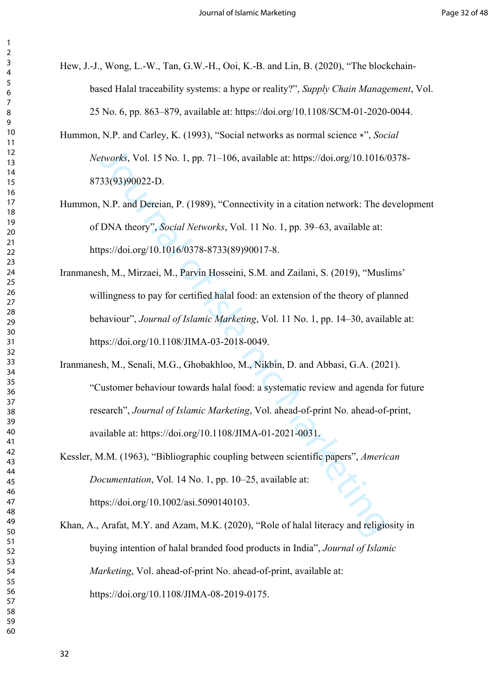Hew, J.-J., Wong, L.-W., Tan, G.W.-H., Ooi, K.-B. and Lin, B. (2020), "The blockchainbased Halal traceability systems: a hype or reality?", *Supply Chain Management*, Vol. 25 No. 6, pp. 863–879, available at: https://doi.org/10.1108/SCM-01-2020-0044.

Hummon, N.P. and Carley, K. (1993), "Social networks as normal science ∗", *Social Networks*, Vol. 15 No. 1, pp. 71–106, available at: https://doi.org/10.1016/0378- 8733(93)90022-D.

- Hummon, N.P. and Dereian, P. (1989), "Connectivity in a citation network: The development of DNA theory", *Social Networks*, Vol. 11 No. 1, pp. 39–63, available at: https://doi.org/10.1016/0378-8733(89)90017-8.
- *ttworks*, Vol. 15 No. 1, pp. 71–106, available at: https://doi.org/10.1016/<br>33(93)90022-D.<br>N.P. and Dereian, P. (1989), "Connectivity in a citation network: The d<br>DNA theory", *Social Networks*, Vol. 11 No. 1, pp. 39–63, Iranmanesh, M., Mirzaei, M., Parvin Hosseini, S.M. and Zailani, S. (2019), "Muslims' willingness to pay for certified halal food: an extension of the theory of planned behaviour", *Journal of Islamic Marketing*, Vol. 11 No. 1, pp. 14–30, available at: https://doi.org/10.1108/JIMA-03-2018-0049.
- Iranmanesh, M., Senali, M.G., Ghobakhloo, M., Nikbin, D. and Abbasi, G.A. (2021). "Customer behaviour towards halal food: a systematic review and agenda for future research", *Journal of Islamic Marketing*, Vol. ahead-of-print No. ahead-of-print, available at: https://doi.org/10.1108/JIMA-01-2021-0031.
- Kessler, M.M. (1963), "Bibliographic coupling between scientific papers", *American Documentation*, Vol. 14 No. 1, pp. 10–25, available at: https://doi.org/10.1002/asi.5090140103.

Khan, A., Arafat, M.Y. and Azam, M.K. (2020), "Role of halal literacy and religiosity in buying intention of halal branded food products in India", *Journal of Islamic Marketing*, Vol. ahead-of-print No. ahead-of-print, available at: https://doi.org/10.1108/JIMA-08-2019-0175.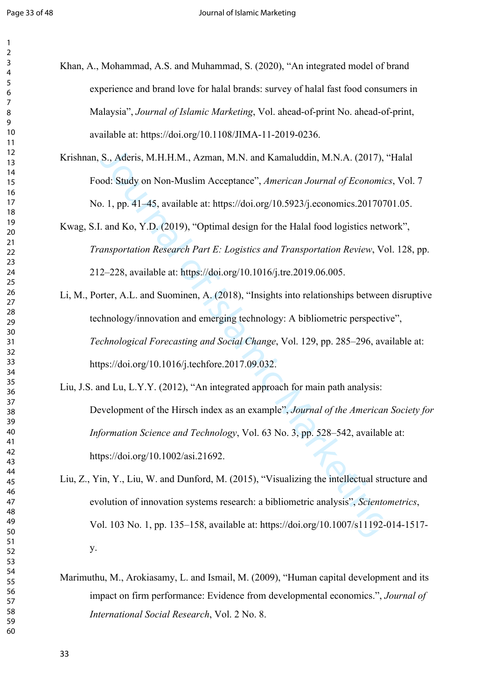Khan, A., Mohammad, A.S. and Muhammad, S. (2020), "An integrated model of brand experience and brand love for halal brands: survey of halal fast food consumers in Malaysia", *Journal of Islamic Marketing*, Vol. ahead-of-print No. ahead-of-print, available at: https://doi.org/10.1108/JIMA-11-2019-0236.

Krishnan, S., Aderis, M.H.H.M., Azman, M.N. and Kamaluddin, M.N.A. (2017), "Halal Food: Study on Non-Muslim Acceptance", *American Journal of Economics*, Vol. 7 No. 1, pp. 41–45, available at: https://doi.org/10.5923/j.economics.20170701.05.

# Kwag, S.I. and Ko, Y.D. (2019), "Optimal design for the Halal food logistics network", *Transportation Research Part E: Logistics and Transportation Review*, Vol. 128, pp. 212–228, available at: https://doi.org/10.1016/j.tre.2019.06.005.

Li, M., Porter, A.L. and Suominen, A. (2018), "Insights into relationships between disruptive technology/innovation and emerging technology: A bibliometric perspective", *Technological Forecasting and Social Change*, Vol. 129, pp. 285–296, available at: https://doi.org/10.1016/j.techfore.2017.09.032.

S., Aderis, M.H.H.M., Azman, M.N. and Kamaluddin, M.N.A. (2017),<br>od: Study on Non-Muslim Acceptance", *American Journal of Economic*<br>5. 1, pp. 41–45, available at: https://doi.org/10.5923/j.cconomics.201707<br>and Ko, Y.D. (2 Liu, J.S. and Lu, L.Y.Y. (2012), "An integrated approach for main path analysis: Development of the Hirsch index as an example", *Journal of the American Society for Information Science and Technology*, Vol. 63 No. 3, pp. 528–542, available at: https://doi.org/10.1002/asi.21692.

- Liu, Z., Yin, Y., Liu, W. and Dunford, M. (2015), "Visualizing the intellectual structure and evolution of innovation systems research: a bibliometric analysis", *Scientometrics*, Vol. 103 No. 1, pp. 135–158, available at: https://doi.org/10.1007/s11192-014-1517 y.
- Marimuthu, M., Arokiasamy, L. and Ismail, M. (2009), "Human capital development and its impact on firm performance: Evidence from developmental economics.", *Journal of International Social Research*, Vol. 2 No. 8.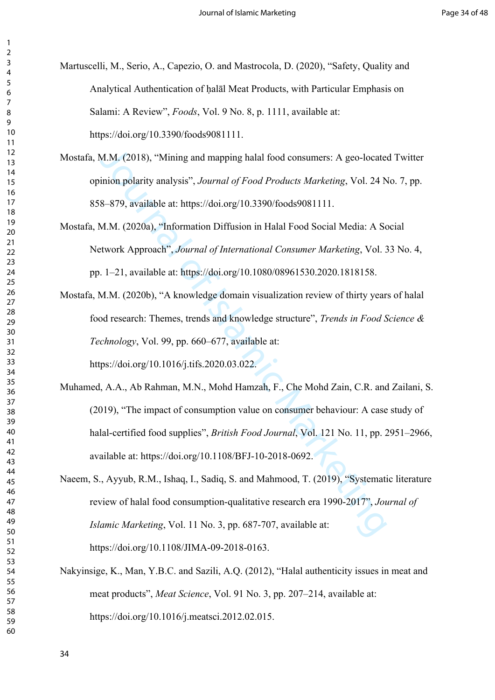Martuscelli, M., Serio, A., Capezio, O. and Mastrocola, D. (2020), "Safety, Quality and Analytical Authentication of ḥalāl Meat Products, with Particular Emphasis on Salami: A Review", *Foods*, Vol. 9 No. 8, p. 1111, available at: https://doi.org/10.3390/foods9081111.

- Mostafa, M.M. (2018), "Mining and mapping halal food consumers: A geo-located Twitter opinion polarity analysis", *Journal of Food Products Marketing*, Vol. 24 No. 7, pp. 858–879, available at: https://doi.org/10.3390/foods9081111.
- Mostafa, M.M. (2020a), "Information Diffusion in Halal Food Social Media: A Social Network Approach", *Journal of International Consumer Marketing*, Vol. 33 No. 4, pp. 1–21, available at: https://doi.org/10.1080/08961530.2020.1818158.
- Mostafa, M.M. (2020b), "A knowledge domain visualization review of thirty years of halal food research: Themes, trends and knowledge structure", *Trends in Food Science & Technology*, Vol. 99, pp. 660–677, available at:

https://doi.org/10.1016/j.tifs.2020.03.022.

- M.M. (2018), "Mining and mapping halal food consumers: A geo-locate<br>inion polarity analysis", Journal of Food Products Marketing, Vol. 24 N<br>8-879, available at: https://doi.org/10.3390/foods9081111.<br>M.M. (2020a), "Informat Muhamed, A.A., Ab Rahman, M.N., Mohd Hamzah, F., Che Mohd Zain, C.R. and Zailani, S. (2019), "The impact of consumption value on consumer behaviour: A case study of halal-certified food supplies", *British Food Journal*, Vol. 121 No. 11, pp. 2951–2966, available at: https://doi.org/10.1108/BFJ-10-2018-0692.
- Naeem, S., Ayyub, R.M., Ishaq, I., Sadiq, S. and Mahmood, T. (2019), "Systematic literature review of halal food consumption-qualitative research era 1990-2017", *Journal of Islamic Marketing*, Vol. 11 No. 3, pp. 687-707, available at: https://doi.org/10.1108/JIMA-09-2018-0163.
- Nakyinsige, K., Man, Y.B.C. and Sazili, A.Q. (2012), "Halal authenticity issues in meat and meat products", *Meat Science*, Vol. 91 No. 3, pp. 207–214, available at: https://doi.org/10.1016/j.meatsci.2012.02.015.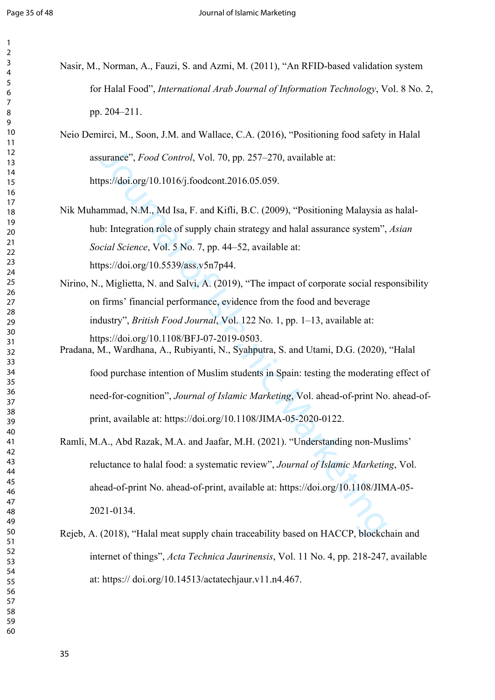| Nasir, M., Norman, A., Fauzi, S. and Azmi, M. (2011), "An RFID-based validation system                                              |
|-------------------------------------------------------------------------------------------------------------------------------------|
| for Halal Food", International Arab Journal of Information Technology, Vol. 8 No. 2,                                                |
| pp. 204-211.                                                                                                                        |
| Neio Demirci, M., Soon, J.M. and Wallace, C.A. (2016), "Positioning food safety in Halal                                            |
| assurance", Food Control, Vol. 70, pp. 257–270, available at:                                                                       |
| https://doi.org/10.1016/j.foodcont.2016.05.059.                                                                                     |
| Nik Muhammad, N.M., Md Isa, F. and Kifli, B.C. (2009), "Positioning Malaysia as halal-                                              |
| hub: Integration role of supply chain strategy and halal assurance system", Asian                                                   |
| Social Science, Vol. 5 No. 7, pp. 44-52, available at:                                                                              |
| https://doi.org/10.5539/ass.v5n7p44.                                                                                                |
| Nirino, N., Miglietta, N. and Salvi, A. (2019), "The impact of corporate social responsibility                                      |
| on firms' financial performance, evidence from the food and beverage                                                                |
| industry", British Food Journal, Vol. 122 No. 1, pp. 1-13, available at:                                                            |
| https://doi.org/10.1108/BFJ-07-2019-0503.<br>Pradana, M., Wardhana, A., Rubiyanti, N., Syahputra, S. and Utami, D.G. (2020), "Halal |
| food purchase intention of Muslim students in Spain: testing the moderating effect of                                               |
| need-for-cognition", Journal of Islamic Marketing, Vol. ahead-of-print No. ahead-of-                                                |
| print, available at: https://doi.org/10.1108/JIMA-05-2020-0122.                                                                     |
| Ramli, M.A., Abd Razak, M.A. and Jaafar, M.H. (2021). "Understanding non-Muslims'                                                   |
| reluctance to halal food: a systematic review", Journal of Islamic Marketing, Vol.                                                  |
| ahead-of-print No. ahead-of-print, available at: https://doi.org/10.1108/JIMA-05-                                                   |
| 2021-0134.                                                                                                                          |
| Rejeb, A. (2018), "Halal meat supply chain traceability based on HACCP, blockchain and                                              |
| internet of things", Acta Technica Jaurinensis, Vol. 11 No. 4, pp. 218-247, available                                               |

at: https:// doi.org/10.14513/actatechjaur.v11.n4.467.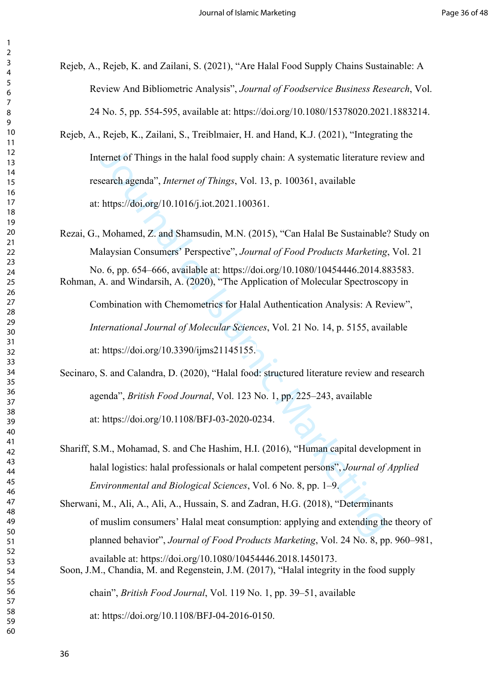Rejeb, A., Rejeb, K. and Zailani, S. (2021), "Are Halal Food Supply Chains Sustainable: A Review And Bibliometric Analysis", *Journal of Foodservice Business Research*, Vol. 24 No. 5, pp. 554-595, available at: https://doi.org/10.1080/15378020.2021.1883214.

ternet of Things in the halal food supply chain: A systematic literature re<br>search agenda", *Internet of Things*, Vol. 13, p. 100361, available<br>https://doi.org/10.1016/j.iot.2021.100361.<br>Mohamed, Z. and Shamsudin, M.N. (20 Rejeb, A., Rejeb, K., Zailani, S., Treiblmaier, H. and Hand, K.J. (2021), "Integrating the Internet of Things in the halal food supply chain: A systematic literature review and research agenda", *Internet of Things*, Vol. 13, p. 100361, available at: https://doi.org/10.1016/j.iot.2021.100361.

Rezai, G., Mohamed, Z. and Shamsudin, M.N. (2015), "Can Halal Be Sustainable? Study on Malaysian Consumers' Perspective", *Journal of Food Products Marketing*, Vol. 21 No. 6, pp. 654–666, available at: https://doi.org/10.1080/10454446.2014.883583. Rohman, A. and Windarsih, A. (2020), "The Application of Molecular Spectroscopy in

Combination with Chemometrics for Halal Authentication Analysis: A Review", *International Journal of Molecular Sciences*, Vol. 21 No. 14, p. 5155, available at: https://doi.org/10.3390/ijms21145155.

Secinaro, S. and Calandra, D. (2020), "Halal food: structured literature review and research agenda", *British Food Journal*, Vol. 123 No. 1, pp. 225–243, available at: https://doi.org/10.1108/BFJ-03-2020-0234.

Shariff, S.M., Mohamad, S. and Che Hashim, H.I. (2016), "Human capital development in halal logistics: halal professionals or halal competent persons", *Journal of Applied Environmental and Biological Sciences*, Vol. 6 No. 8, pp. 1–9.

Sherwani, M., Ali, A., Ali, A., Hussain, S. and Zadran, H.G. (2018), "Determinants of muslim consumers' Halal meat consumption: applying and extending the theory of planned behavior", *Journal of Food Products Marketing*, Vol. 24 No. 8, pp. 960–981, available at: https://doi.org/10.1080/10454446.2018.1450173. Soon, J.M., Chandia, M. and Regenstein, J.M. (2017), "Halal integrity in the food supply

chain", *British Food Journal*, Vol. 119 No. 1, pp. 39–51, available

at: https://doi.org/10.1108/BFJ-04-2016-0150.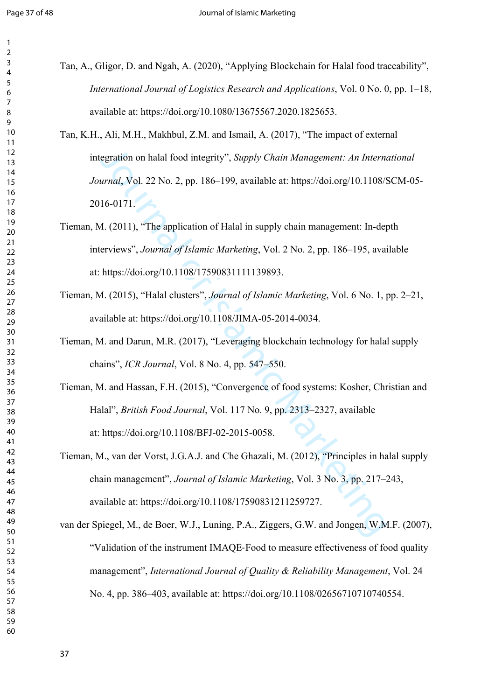- 
- Tan, A., Gligor, D. and Ngah, A. (2020), "Applying Blockchain for Halal food traceability", *International Journal of Logistics Research and Applications*, Vol. 0 No. 0, pp. 1–18, available at: https://doi.org/10.1080/13675567.2020.1825653.
- egration on halal food integrity", *Supply Chain Management: An Internat*, *Vol.* 22 No. 2, pp. 186–199, available at: https://doi.org/10.1108/3<br>16-0171.<br> *A.* (2011), "The application of Halal in supply chain management: Tan, K.H., Ali, M.H., Makhbul, Z.M. and Ismail, A. (2017), "The impact of external integration on halal food integrity", *Supply Chain Management: An International Journal*, Vol. 22 No. 2, pp. 186–199, available at: https://doi.org/10.1108/SCM-05- 2016-0171.
- Tieman, M. (2011), "The application of Halal in supply chain management: In-depth interviews", *Journal of Islamic Marketing*, Vol. 2 No. 2, pp. 186–195, available at: https://doi.org/10.1108/17590831111139893.
- Tieman, M. (2015), "Halal clusters", *Journal of Islamic Marketing*, Vol. 6 No. 1, pp. 2–21, available at: https://doi.org/10.1108/JIMA-05-2014-0034.
- Tieman, M. and Darun, M.R. (2017), "Leveraging blockchain technology for halal supply chains", *ICR Journal*, Vol. 8 No. 4, pp. 547–550.
- Tieman, M. and Hassan, F.H. (2015), "Convergence of food systems: Kosher, Christian and Halal", *British Food Journal*, Vol. 117 No. 9, pp. 2313–2327, available at: https://doi.org/10.1108/BFJ-02-2015-0058.
- Tieman, M., van der Vorst, J.G.A.J. and Che Ghazali, M. (2012), "Principles in halal supply chain management", *Journal of Islamic Marketing*, Vol. 3 No. 3, pp. 217–243, available at: https://doi.org/10.1108/17590831211259727.
- van der Spiegel, M., de Boer, W.J., Luning, P.A., Ziggers, G.W. and Jongen, W.M.F. (2007), "Validation of the instrument IMAQE‐Food to measure effectiveness of food quality management", *International Journal of Quality & Reliability Management*, Vol. 24 No. 4, pp. 386–403, available at: https://doi.org/10.1108/02656710710740554.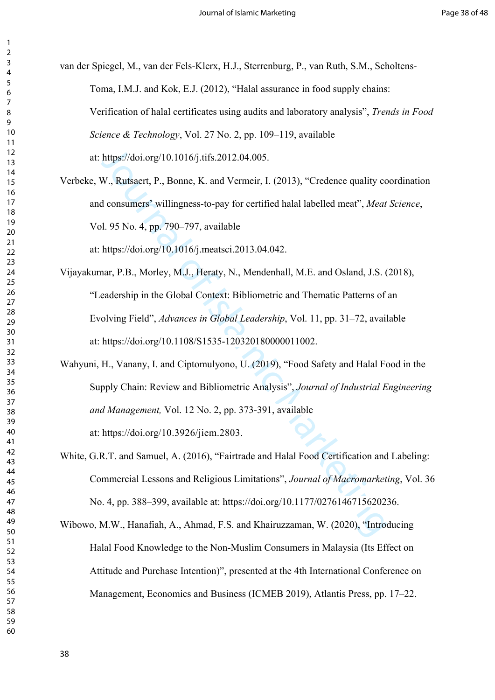van der Spiegel, M., van der Fels-Klerx, H.J., Sterrenburg, P., van Ruth, S.M., Scholtens-Toma, I.M.J. and Kok, E.J. (2012), "Halal assurance in food supply chains: Verification of halal certificates using audits and laboratory analysis", *Trends in Food Science & Technology*, Vol. 27 No. 2, pp. 109–119, available at: https://doi.org/10.1016/j.tifs.2012.04.005.

Verbeke, W., Rutsaert, P., Bonne, K. and Vermeir, I. (2013), "Credence quality coordination and consumers' willingness-to-pay for certified halal labelled meat", *Meat Science*, Vol. 95 No. 4, pp. 790–797, available

at: https://doi.org/10.1016/j.meatsci.2013.04.042.

- https://doi.org/10.1016/j.tifs.2012.04.005.<br>W., Rutsaert, P., Bonne, K. and Vermeir, I. (2013), "Credence quality ed<br>d consumers" willingness-to-pay for certified halal labelled meat", *Meat*<br>ol. 95 No. 4, pp. 790–797, ava Vijayakumar, P.B., Morley, M.J., Heraty, N., Mendenhall, M.E. and Osland, J.S. (2018), "Leadership in the Global Context: Bibliometric and Thematic Patterns of an Evolving Field", *Advances in Global Leadership*, Vol. 11, pp. 31–72, available at: https://doi.org/10.1108/S1535-120320180000011002.
- Wahyuni, H., Vanany, I. and Ciptomulyono, U. (2019), "Food Safety and Halal Food in the Supply Chain: Review and Bibliometric Analysis", *Journal of Industrial Engineering and Management,* Vol. 12 No. 2, pp. 373-391, available at: https://doi.org/10.3926/jiem.2803.
- White, G.R.T. and Samuel, A. (2016), "Fairtrade and Halal Food Certification and Labeling: Commercial Lessons and Religious Limitations", *Journal of Macromarketing*, Vol. 36 No. 4, pp. 388–399, available at: https://doi.org/10.1177/0276146715620236.
- Wibowo, M.W., Hanafiah, A., Ahmad, F.S. and Khairuzzaman, W. (2020), "Introducing Halal Food Knowledge to the Non-Muslim Consumers in Malaysia (Its Effect on Attitude and Purchase Intention)", presented at the 4th International Conference on Management, Economics and Business (ICMEB 2019), Atlantis Press, pp. 17–22.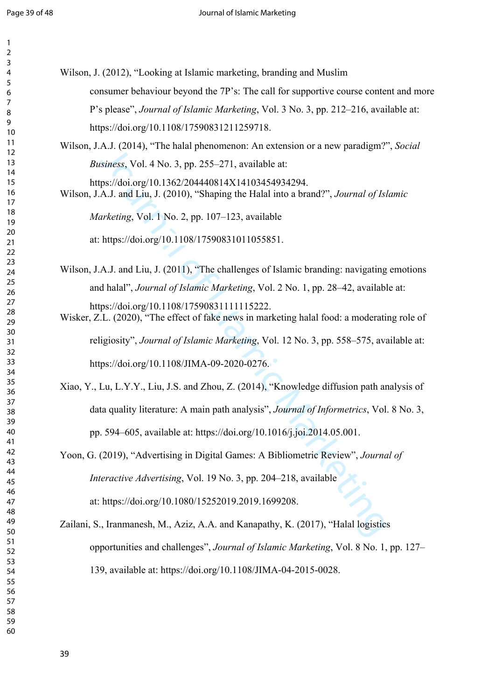| $\mathbf{1}$            |                                                                                                                                               |
|-------------------------|-----------------------------------------------------------------------------------------------------------------------------------------------|
| $\overline{\mathbf{c}}$ |                                                                                                                                               |
| 3<br>4                  | Wilson, J. (2012), "Looking at Islamic marketing, branding and Muslim                                                                         |
| 5                       |                                                                                                                                               |
| 6                       | consumer behaviour beyond the 7P's: The call for supportive course content and more                                                           |
| 7<br>8                  | P's please", Journal of Islamic Marketing, Vol. 3 No. 3, pp. 212–216, available at:                                                           |
| 9<br>10                 | https://doi.org/10.1108/17590831211259718.                                                                                                    |
| 11                      | Wilson, J.A.J. (2014), "The halal phenomenon: An extension or a new paradigm?", Social                                                        |
| 12<br>13                | <i>Business</i> , Vol. 4 No. 3, pp. 255–271, available at:                                                                                    |
| 14                      |                                                                                                                                               |
| 15<br>16<br>17          | https://doi.org/10.1362/204440814X14103454934294.<br>Wilson, J.A.J. and Liu, J. (2010), "Shaping the Halal into a brand?", Journal of Islamic |
| 18<br>19                | Marketing, Vol. 1 No. 2, pp. 107–123, available                                                                                               |
| 20<br>21                | at: https://doi.org/10.1108/17590831011055851.                                                                                                |
| 22<br>23                |                                                                                                                                               |
| 24                      | Wilson, J.A.J. and Liu, J. (2011), "The challenges of Islamic branding: navigating emotions                                                   |
| 25<br>26                | and halal", Journal of Islamic Marketing, Vol. 2 No. 1, pp. 28–42, available at:                                                              |
| 27                      | https://doi.org/10.1108/17590831111115222.                                                                                                    |
| 28                      | Wisker, Z.L. (2020), "The effect of fake news in marketing halal food: a moderating role of                                                   |
| 29                      |                                                                                                                                               |
| 30<br>31                | religiosity", Journal of Islamic Marketing, Vol. 12 No. 3, pp. 558–575, available at:                                                         |
| 32<br>33                |                                                                                                                                               |
| 34                      | https://doi.org/10.1108/JIMA-09-2020-0276.                                                                                                    |
| 35                      | Xiao, Y., Lu, L.Y.Y., Liu, J.S. and Zhou, Z. (2014), "Knowledge diffusion path analysis of                                                    |
| 36<br>37                |                                                                                                                                               |
| 38                      | data quality literature: A main path analysis", <i>Journal of Informetrics</i> , Vol. 8 No. 3,                                                |
| 39<br>40                | pp. 594-605, available at: https://doi.org/10.1016/j.joi.2014.05.001.                                                                         |
| 41                      |                                                                                                                                               |
| 42<br>43                | Yoon, G. (2019), "Advertising in Digital Games: A Bibliometric Review", Journal of                                                            |
| 44                      |                                                                                                                                               |
| 45                      | Interactive Advertising, Vol. 19 No. 3, pp. 204-218, available                                                                                |
| 46<br>47                | at: https://doi.org/10.1080/15252019.2019.1699208.                                                                                            |
| 48<br>49                | Zailani, S., Iranmanesh, M., Aziz, A.A. and Kanapathy, K. (2017), "Halal logistics                                                            |
| 50<br>51                |                                                                                                                                               |
| 52                      | opportunities and challenges", Journal of Islamic Marketing, Vol. 8 No. 1, pp. 127–                                                           |
| 53<br>54                | 139, available at: https://doi.org/10.1108/JIMA-04-2015-0028.                                                                                 |
| 55                      |                                                                                                                                               |
| 56                      |                                                                                                                                               |
| 57                      |                                                                                                                                               |
| 58<br>59                |                                                                                                                                               |